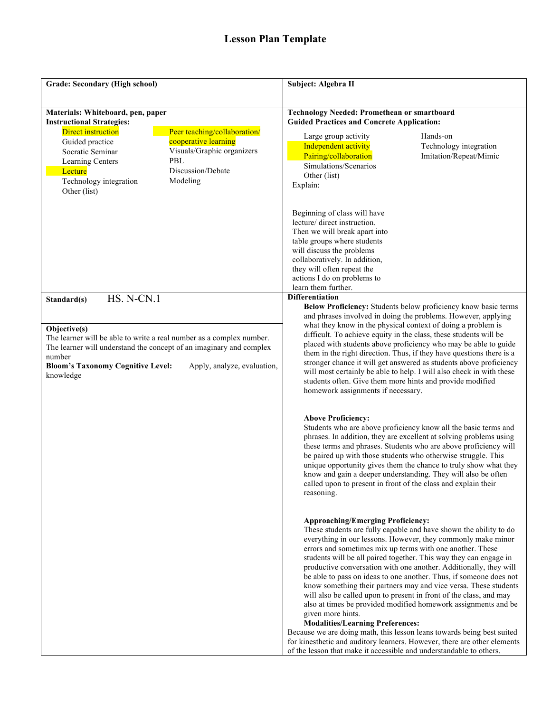| Grade: Secondary (High school)                                                                                                                                                                                                                                                                              | Subject: Algebra II                                                                                                                                                                                                                                                                                                                                                                                                                                                                                                                                                                                                                                                                                                                                                                                                                                                                                                                                                 |  |
|-------------------------------------------------------------------------------------------------------------------------------------------------------------------------------------------------------------------------------------------------------------------------------------------------------------|---------------------------------------------------------------------------------------------------------------------------------------------------------------------------------------------------------------------------------------------------------------------------------------------------------------------------------------------------------------------------------------------------------------------------------------------------------------------------------------------------------------------------------------------------------------------------------------------------------------------------------------------------------------------------------------------------------------------------------------------------------------------------------------------------------------------------------------------------------------------------------------------------------------------------------------------------------------------|--|
| Materials: Whiteboard, pen, paper                                                                                                                                                                                                                                                                           | <b>Technology Needed: Promethean or smartboard</b>                                                                                                                                                                                                                                                                                                                                                                                                                                                                                                                                                                                                                                                                                                                                                                                                                                                                                                                  |  |
| <b>Instructional Strategies:</b><br><b>Direct instruction</b><br>Peer teaching/collaboration/<br>cooperative learning<br>Guided practice<br>Visuals/Graphic organizers<br>Socratic Seminar<br>PBL<br>Learning Centers<br>Discussion/Debate<br>Lecture<br>Modeling<br>Technology integration<br>Other (list) | <b>Guided Practices and Concrete Application:</b><br>Large group activity<br>Hands-on<br>Independent activity<br>Technology integration<br>Pairing/collaboration<br>Imitation/Repeat/Mimic<br>Simulations/Scenarios<br>Other (list)<br>Explain:                                                                                                                                                                                                                                                                                                                                                                                                                                                                                                                                                                                                                                                                                                                     |  |
|                                                                                                                                                                                                                                                                                                             | Beginning of class will have<br>lecture/ direct instruction.<br>Then we will break apart into<br>table groups where students<br>will discuss the problems<br>collaboratively. In addition,<br>they will often repeat the<br>actions I do on problems to<br>learn them further.                                                                                                                                                                                                                                                                                                                                                                                                                                                                                                                                                                                                                                                                                      |  |
| HS. N-CN.1<br>Standard(s)<br>Objective(s)<br>The learner will be able to write a real number as a complex number.<br>The learner will understand the concept of an imaginary and complex<br>number<br><b>Bloom's Taxonomy Cognitive Level:</b><br>Apply, analyze, evaluation,<br>knowledge                  | <b>Differentiation</b><br>Below Proficiency: Students below proficiency know basic terms<br>and phrases involved in doing the problems. However, applying<br>what they know in the physical context of doing a problem is<br>difficult. To achieve equity in the class, these students will be<br>placed with students above proficiency who may be able to guide<br>them in the right direction. Thus, if they have questions there is a<br>stronger chance it will get answered as students above proficiency<br>will most certainly be able to help. I will also check in with these<br>students often. Give them more hints and provide modified<br>homework assignments if necessary.                                                                                                                                                                                                                                                                          |  |
|                                                                                                                                                                                                                                                                                                             | <b>Above Proficiency:</b><br>Students who are above proficiency know all the basic terms and<br>phrases. In addition, they are excellent at solving problems using<br>these terms and phrases. Students who are above proficiency will<br>be paired up with those students who otherwise struggle. This<br>unique opportunity gives them the chance to truly show what they<br>know and gain a deeper understanding. They will also be often<br>called upon to present in front of the class and explain their<br>reasoning.                                                                                                                                                                                                                                                                                                                                                                                                                                        |  |
|                                                                                                                                                                                                                                                                                                             | <b>Approaching/Emerging Proficiency:</b><br>These students are fully capable and have shown the ability to do<br>everything in our lessons. However, they commonly make minor<br>errors and sometimes mix up terms with one another. These<br>students will be all paired together. This way they can engage in<br>productive conversation with one another. Additionally, they will<br>be able to pass on ideas to one another. Thus, if someone does not<br>know something their partners may and vice versa. These students<br>will also be called upon to present in front of the class, and may<br>also at times be provided modified homework assignments and be<br>given more hints.<br><b>Modalities/Learning Preferences:</b><br>Because we are doing math, this lesson leans towards being best suited<br>for kinesthetic and auditory learners. However, there are other elements<br>of the lesson that make it accessible and understandable to others. |  |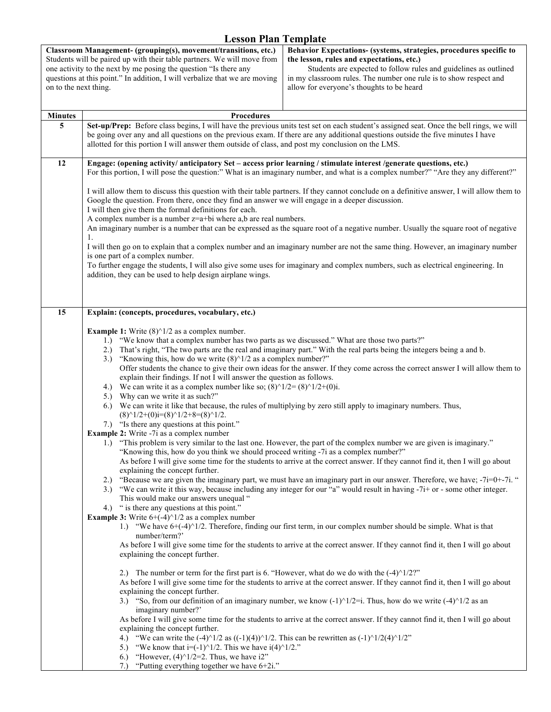| on to the next thing. | Classroom Management- (grouping(s), movement/transitions, etc.)<br>Behavior Expectations- (systems, strategies, procedures specific to<br>Students will be paired up with their table partners. We will move from<br>the lesson, rules and expectations, etc.)<br>one activity to the next by me posing the question "Is there any<br>Students are expected to follow rules and guidelines as outlined<br>questions at this point." In addition, I will verbalize that we are moving<br>in my classroom rules. The number one rule is to show respect and<br>allow for everyone's thoughts to be heard                                                                                                                                                                                                                                                                                                                                                                                                                                                                                                                                                                                                                                                                                                                                                                                                                                                                                                                                                                                                                                                                                                                                                                                                                                                                                                                                                                                                                                                                                                                                                                                                                                                                                                                                                                                                                                                                                                                                                                                                                                                                                                                                                                                                                                                                                                                                                                                                                                                         |  |  |
|-----------------------|----------------------------------------------------------------------------------------------------------------------------------------------------------------------------------------------------------------------------------------------------------------------------------------------------------------------------------------------------------------------------------------------------------------------------------------------------------------------------------------------------------------------------------------------------------------------------------------------------------------------------------------------------------------------------------------------------------------------------------------------------------------------------------------------------------------------------------------------------------------------------------------------------------------------------------------------------------------------------------------------------------------------------------------------------------------------------------------------------------------------------------------------------------------------------------------------------------------------------------------------------------------------------------------------------------------------------------------------------------------------------------------------------------------------------------------------------------------------------------------------------------------------------------------------------------------------------------------------------------------------------------------------------------------------------------------------------------------------------------------------------------------------------------------------------------------------------------------------------------------------------------------------------------------------------------------------------------------------------------------------------------------------------------------------------------------------------------------------------------------------------------------------------------------------------------------------------------------------------------------------------------------------------------------------------------------------------------------------------------------------------------------------------------------------------------------------------------------------------------------------------------------------------------------------------------------------------------------------------------------------------------------------------------------------------------------------------------------------------------------------------------------------------------------------------------------------------------------------------------------------------------------------------------------------------------------------------------------------------------------------------------------------------------------------------------------|--|--|
|                       |                                                                                                                                                                                                                                                                                                                                                                                                                                                                                                                                                                                                                                                                                                                                                                                                                                                                                                                                                                                                                                                                                                                                                                                                                                                                                                                                                                                                                                                                                                                                                                                                                                                                                                                                                                                                                                                                                                                                                                                                                                                                                                                                                                                                                                                                                                                                                                                                                                                                                                                                                                                                                                                                                                                                                                                                                                                                                                                                                                                                                                                                |  |  |
| <b>Minutes</b><br>5   | <b>Procedures</b><br>Set-up/Prep: Before class begins, I will have the previous units test set on each student's assigned seat. Once the bell rings, we will<br>be going over any and all questions on the previous exam. If there are any additional questions outside the five minutes I have<br>allotted for this portion I will answer them outside of class, and post my conclusion on the LMS.                                                                                                                                                                                                                                                                                                                                                                                                                                                                                                                                                                                                                                                                                                                                                                                                                                                                                                                                                                                                                                                                                                                                                                                                                                                                                                                                                                                                                                                                                                                                                                                                                                                                                                                                                                                                                                                                                                                                                                                                                                                                                                                                                                                                                                                                                                                                                                                                                                                                                                                                                                                                                                                           |  |  |
| 12                    | Engage: (opening activity/ anticipatory Set - access prior learning / stimulate interest /generate questions, etc.)<br>For this portion, I will pose the question:" What is an imaginary number, and what is a complex number?" "Are they any different?"                                                                                                                                                                                                                                                                                                                                                                                                                                                                                                                                                                                                                                                                                                                                                                                                                                                                                                                                                                                                                                                                                                                                                                                                                                                                                                                                                                                                                                                                                                                                                                                                                                                                                                                                                                                                                                                                                                                                                                                                                                                                                                                                                                                                                                                                                                                                                                                                                                                                                                                                                                                                                                                                                                                                                                                                      |  |  |
|                       | I will allow them to discuss this question with their table partners. If they cannot conclude on a definitive answer, I will allow them to<br>Google the question. From there, once they find an answer we will engage in a deeper discussion.<br>I will then give them the formal definitions for each.<br>A complex number is a number $z=a+bi$ where a,b are real numbers.                                                                                                                                                                                                                                                                                                                                                                                                                                                                                                                                                                                                                                                                                                                                                                                                                                                                                                                                                                                                                                                                                                                                                                                                                                                                                                                                                                                                                                                                                                                                                                                                                                                                                                                                                                                                                                                                                                                                                                                                                                                                                                                                                                                                                                                                                                                                                                                                                                                                                                                                                                                                                                                                                  |  |  |
|                       | An imaginary number is a number that can be expressed as the square root of a negative number. Usually the square root of negative<br>1.                                                                                                                                                                                                                                                                                                                                                                                                                                                                                                                                                                                                                                                                                                                                                                                                                                                                                                                                                                                                                                                                                                                                                                                                                                                                                                                                                                                                                                                                                                                                                                                                                                                                                                                                                                                                                                                                                                                                                                                                                                                                                                                                                                                                                                                                                                                                                                                                                                                                                                                                                                                                                                                                                                                                                                                                                                                                                                                       |  |  |
|                       | I will then go on to explain that a complex number and an imaginary number are not the same thing. However, an imaginary number<br>is one part of a complex number.                                                                                                                                                                                                                                                                                                                                                                                                                                                                                                                                                                                                                                                                                                                                                                                                                                                                                                                                                                                                                                                                                                                                                                                                                                                                                                                                                                                                                                                                                                                                                                                                                                                                                                                                                                                                                                                                                                                                                                                                                                                                                                                                                                                                                                                                                                                                                                                                                                                                                                                                                                                                                                                                                                                                                                                                                                                                                            |  |  |
|                       | To further engage the students, I will also give some uses for imaginary and complex numbers, such as electrical engineering. In<br>addition, they can be used to help design airplane wings.                                                                                                                                                                                                                                                                                                                                                                                                                                                                                                                                                                                                                                                                                                                                                                                                                                                                                                                                                                                                                                                                                                                                                                                                                                                                                                                                                                                                                                                                                                                                                                                                                                                                                                                                                                                                                                                                                                                                                                                                                                                                                                                                                                                                                                                                                                                                                                                                                                                                                                                                                                                                                                                                                                                                                                                                                                                                  |  |  |
| 15                    |                                                                                                                                                                                                                                                                                                                                                                                                                                                                                                                                                                                                                                                                                                                                                                                                                                                                                                                                                                                                                                                                                                                                                                                                                                                                                                                                                                                                                                                                                                                                                                                                                                                                                                                                                                                                                                                                                                                                                                                                                                                                                                                                                                                                                                                                                                                                                                                                                                                                                                                                                                                                                                                                                                                                                                                                                                                                                                                                                                                                                                                                |  |  |
|                       | Explain: (concepts, procedures, vocabulary, etc.)<br><b>Example 1:</b> Write $(8)^{1/2}$ as a complex number.<br>"We know that a complex number has two parts as we discussed." What are those two parts?"<br>1.<br>That's right, "The two parts are the real and imaginary part." With the real parts being the integers being a and b.<br>2.)<br>"Knowing this, how do we write $(8)^{1/2}$ as a complex number?"<br>3.)<br>Offer students the chance to give their own ideas for the answer. If they come across the correct answer I will allow them to<br>explain their findings. If not I will answer the question as follows.<br>4.) We can write it as a complex number like so; $(8)^{1/2} = (8)^{1/2} + (0)$ i.<br>5.) Why can we write it as such?"<br>6.) We can write it like that because, the rules of multiplying by zero still apply to imaginary numbers. Thus,<br>$(8)^{1/2+}(0)i=(8)^{1/2+8}=(8)^{1/2}.$<br>7.) "Is there any questions at this point."<br><b>Example 2:</b> Write -7i as a complex number<br>1.) "This problem is very similar to the last one. However, the part of the complex number we are given is imaginary."<br>"Knowing this, how do you think we should proceed writing -7i as a complex number?"<br>As before I will give some time for the students to arrive at the correct answer. If they cannot find it, then I will go about<br>explaining the concept further.<br>"Because we are given the imaginary part, we must have an imaginary part in our answer. Therefore, we have; -7i=0+-7i. "<br>2.)<br>3.) "We can write it this way, because including any integer for our "a" would result in having -7i+ or - some other integer.<br>This would make our answers unequal "<br>4.) " is there any questions at this point."<br><b>Example 3:</b> Write $6+(-4)^{1/2}$ as a complex number<br>1.) "We have $6+(-4)^{1/2}$ . Therefore, finding our first term, in our complex number should be simple. What is that<br>number/term?'<br>As before I will give some time for the students to arrive at the correct answer. If they cannot find it, then I will go about<br>explaining the concept further.<br>2.) The number or term for the first part is 6. "However, what do we do with the $(-4)^{1/2}$ ?"<br>As before I will give some time for the students to arrive at the correct answer. If they cannot find it, then I will go about<br>explaining the concept further.<br>3.) "So, from our definition of an imaginary number, we know $(-1)^{1/2}$ =i. Thus, how do we write $(-4)^{1/2}$ as an<br>imaginary number?'<br>As before I will give some time for the students to arrive at the correct answer. If they cannot find it, then I will go about<br>explaining the concept further.<br>"We can write the $(-4)^{1/2}$ as $((-1)(4))^{1/2}$ . This can be rewritten as $(-1)^{1/2}(4)^{1/2}$ "<br>4.)<br>"We know that i= $(-1)^{1/2}$ . This we have i $(4)^{1/2}$ ."<br>5.)<br>6.) "However, $(4)^{1/2=2}$ . Thus, we have i2"<br>"Putting everything together we have 6+2i."<br>7.) |  |  |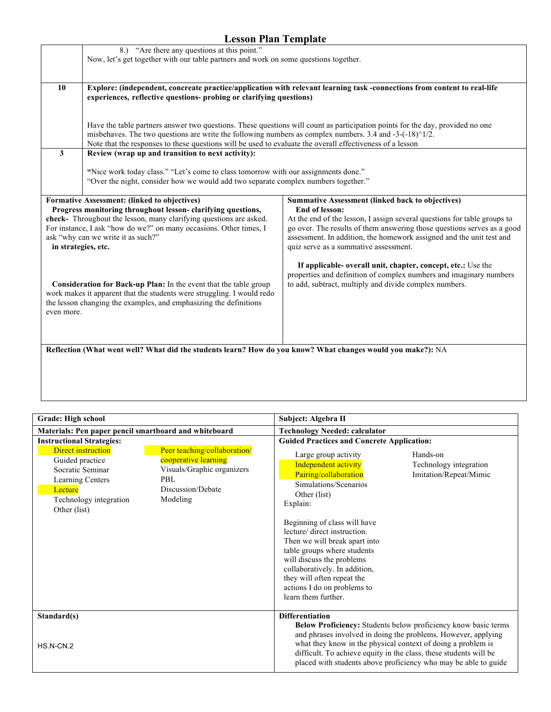|                                                                                                             | 8.) "Are there any questions at this point."                                                                       |                                                                                                                               |  |
|-------------------------------------------------------------------------------------------------------------|--------------------------------------------------------------------------------------------------------------------|-------------------------------------------------------------------------------------------------------------------------------|--|
|                                                                                                             | Now, let's get together with our table partners and work on some questions together.                               |                                                                                                                               |  |
|                                                                                                             |                                                                                                                    |                                                                                                                               |  |
| 10                                                                                                          |                                                                                                                    | Explore: (independent, concreate practice/application with relevant learning task -connections from content to real-life      |  |
|                                                                                                             | experiences, reflective questions- probing or clarifying questions)                                                |                                                                                                                               |  |
|                                                                                                             |                                                                                                                    |                                                                                                                               |  |
|                                                                                                             |                                                                                                                    |                                                                                                                               |  |
|                                                                                                             |                                                                                                                    | Have the table partners answer two questions. These questions will count as participation points for the day, provided no one |  |
|                                                                                                             | misbehaves. The two questions are write the following numbers as complex numbers. 3.4 and -3-(-18) $\frac{1}{2}$ . |                                                                                                                               |  |
|                                                                                                             | Note that the responses to these questions will be used to evaluate the overall effectiveness of a lesson          |                                                                                                                               |  |
| 3                                                                                                           | Review (wrap up and transition to next activity):                                                                  |                                                                                                                               |  |
|                                                                                                             |                                                                                                                    |                                                                                                                               |  |
|                                                                                                             | "Nice work today class." "Let's come to class tomorrow with our assignments done."                                 |                                                                                                                               |  |
|                                                                                                             | "Over the night, consider how we would add two separate complex numbers together."                                 |                                                                                                                               |  |
|                                                                                                             |                                                                                                                    |                                                                                                                               |  |
|                                                                                                             | Formative Assessment: (linked to objectives)                                                                       | <b>Summative Assessment (linked back to objectives)</b>                                                                       |  |
|                                                                                                             | Progress monitoring throughout lesson-clarifying questions,                                                        | End of lesson:                                                                                                                |  |
|                                                                                                             | check- Throughout the lesson, many clarifying questions are asked.                                                 | At the end of the lesson, I assign several questions for table groups to                                                      |  |
|                                                                                                             | For instance, I ask "how do we?" on many occasions. Other times, I                                                 | go over. The results of them answering those questions serves as a good                                                       |  |
|                                                                                                             | ask "why can we write it as such?"                                                                                 | assessment. In addition, the homework assigned and the unit test and                                                          |  |
| in strategies, etc.                                                                                         |                                                                                                                    | quiz serve as a summative assessment.                                                                                         |  |
|                                                                                                             |                                                                                                                    |                                                                                                                               |  |
|                                                                                                             |                                                                                                                    | If applicable- overall unit, chapter, concept, etc.: Use the                                                                  |  |
|                                                                                                             |                                                                                                                    | properties and definition of complex numbers and imaginary numbers                                                            |  |
|                                                                                                             | Consideration for Back-up Plan: In the event that the table group                                                  | to add, subtract, multiply and divide complex numbers.                                                                        |  |
|                                                                                                             | work makes it apparent that the students were struggling. I would redo                                             |                                                                                                                               |  |
|                                                                                                             | the lesson changing the examples, and emphasizing the definitions                                                  |                                                                                                                               |  |
| even more.                                                                                                  |                                                                                                                    |                                                                                                                               |  |
|                                                                                                             |                                                                                                                    |                                                                                                                               |  |
|                                                                                                             |                                                                                                                    |                                                                                                                               |  |
|                                                                                                             |                                                                                                                    |                                                                                                                               |  |
| Reflection (What went well? What did the students learn? How do you know? What changes would you make?): NA |                                                                                                                    |                                                                                                                               |  |
|                                                                                                             |                                                                                                                    |                                                                                                                               |  |
|                                                                                                             |                                                                                                                    |                                                                                                                               |  |
|                                                                                                             |                                                                                                                    |                                                                                                                               |  |
|                                                                                                             |                                                                                                                    |                                                                                                                               |  |

| Grade: High school                                                                                                                                                                                                                                                      | Subject: Algebra II                                                                                                                                                                                                                                                                                                                                                                                                                                                          |
|-------------------------------------------------------------------------------------------------------------------------------------------------------------------------------------------------------------------------------------------------------------------------|------------------------------------------------------------------------------------------------------------------------------------------------------------------------------------------------------------------------------------------------------------------------------------------------------------------------------------------------------------------------------------------------------------------------------------------------------------------------------|
| Materials: Pen paper pencil smartboard and whiteboard                                                                                                                                                                                                                   | <b>Technology Needed: calculator</b>                                                                                                                                                                                                                                                                                                                                                                                                                                         |
| <b>Instructional Strategies:</b>                                                                                                                                                                                                                                        | <b>Guided Practices and Concrete Application:</b>                                                                                                                                                                                                                                                                                                                                                                                                                            |
| Peer teaching/collaboration/<br><b>Direct instruction</b><br>cooperative learning<br>Guided practice<br>Socratic Seminar<br>Visuals/Graphic organizers<br>PBL<br>Learning Centers<br>Discussion/Debate<br>Lecture<br>Modeling<br>Technology integration<br>Other (list) | Hands-on<br>Large group activity<br>Independent activity<br>Technology integration<br>Pairing/collaboration<br>Imitation/Repeat/Mimic<br>Simulations/Scenarios<br>Other (list)<br>Explain:<br>Beginning of class will have<br>lecture/ direct instruction.<br>Then we will break apart into<br>table groups where students<br>will discuss the problems<br>collaboratively. In addition,<br>they will often repeat the<br>actions I do on problems to<br>learn them further. |
| Standard(s)                                                                                                                                                                                                                                                             | <b>Differentiation</b><br>Below Proficiency: Students below proficiency know basic terms                                                                                                                                                                                                                                                                                                                                                                                     |
| HS.N-CN.2                                                                                                                                                                                                                                                               | and phrases involved in doing the problems. However, applying<br>what they know in the physical context of doing a problem is<br>difficult. To achieve equity in the class, these students will be<br>placed with students above proficiency who may be able to guide                                                                                                                                                                                                        |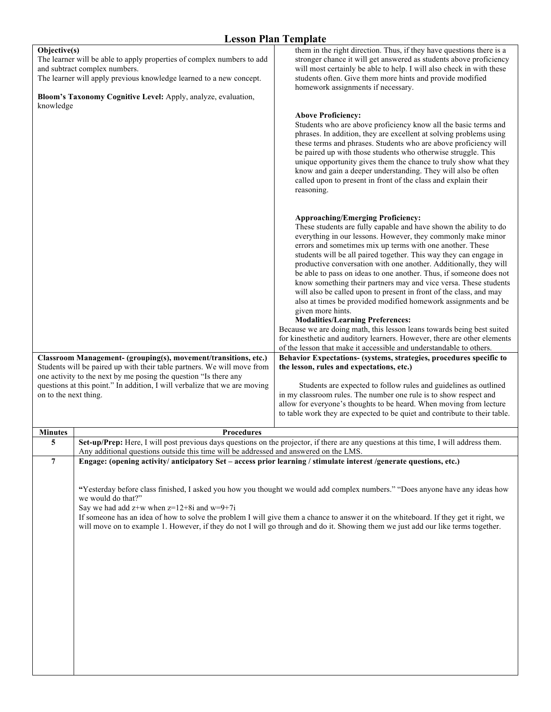|                                                                                                                                                                                                                                                                 |                |                                                                                                                     | есьзоп і вип і стрійс                                                                                                                                                                                                                                                                                                                                                                                                                                                                                                                                                                                                                                                                                                                                                                                                                                                                                                                                               |
|-----------------------------------------------------------------------------------------------------------------------------------------------------------------------------------------------------------------------------------------------------------------|----------------|---------------------------------------------------------------------------------------------------------------------|---------------------------------------------------------------------------------------------------------------------------------------------------------------------------------------------------------------------------------------------------------------------------------------------------------------------------------------------------------------------------------------------------------------------------------------------------------------------------------------------------------------------------------------------------------------------------------------------------------------------------------------------------------------------------------------------------------------------------------------------------------------------------------------------------------------------------------------------------------------------------------------------------------------------------------------------------------------------|
| Objective(s)<br>The learner will be able to apply properties of complex numbers to add<br>and subtract complex numbers.<br>The learner will apply previous knowledge learned to a new concept.<br>Bloom's Taxonomy Cognitive Level: Apply, analyze, evaluation, |                |                                                                                                                     | them in the right direction. Thus, if they have questions there is a<br>stronger chance it will get answered as students above proficiency<br>will most certainly be able to help. I will also check in with these<br>students often. Give them more hints and provide modified<br>homework assignments if necessary.                                                                                                                                                                                                                                                                                                                                                                                                                                                                                                                                                                                                                                               |
|                                                                                                                                                                                                                                                                 | knowledge      |                                                                                                                     | <b>Above Proficiency:</b><br>Students who are above proficiency know all the basic terms and<br>phrases. In addition, they are excellent at solving problems using<br>these terms and phrases. Students who are above proficiency will<br>be paired up with those students who otherwise struggle. This<br>unique opportunity gives them the chance to truly show what they<br>know and gain a deeper understanding. They will also be often<br>called upon to present in front of the class and explain their<br>reasoning.                                                                                                                                                                                                                                                                                                                                                                                                                                        |
|                                                                                                                                                                                                                                                                 |                |                                                                                                                     | <b>Approaching/Emerging Proficiency:</b><br>These students are fully capable and have shown the ability to do<br>everything in our lessons. However, they commonly make minor<br>errors and sometimes mix up terms with one another. These<br>students will be all paired together. This way they can engage in<br>productive conversation with one another. Additionally, they will<br>be able to pass on ideas to one another. Thus, if someone does not<br>know something their partners may and vice versa. These students<br>will also be called upon to present in front of the class, and may<br>also at times be provided modified homework assignments and be<br>given more hints.<br><b>Modalities/Learning Preferences:</b><br>Because we are doing math, this lesson leans towards being best suited<br>for kinesthetic and auditory learners. However, there are other elements<br>of the lesson that make it accessible and understandable to others. |
| Classroom Management- (grouping(s), movement/transitions, etc.)<br>Students will be paired up with their table partners. We will move from<br>one activity to the next by me posing the question "Is there any                                                  |                |                                                                                                                     | Behavior Expectations- (systems, strategies, procedures specific to<br>the lesson, rules and expectations, etc.)<br>Students are expected to follow rules and guidelines as outlined                                                                                                                                                                                                                                                                                                                                                                                                                                                                                                                                                                                                                                                                                                                                                                                |
| questions at this point." In addition, I will verbalize that we are moving<br>on to the next thing.                                                                                                                                                             |                |                                                                                                                     | in my classroom rules. The number one rule is to show respect and<br>allow for everyone's thoughts to be heard. When moving from lecture<br>to table work they are expected to be quiet and contribute to their table.                                                                                                                                                                                                                                                                                                                                                                                                                                                                                                                                                                                                                                                                                                                                              |
|                                                                                                                                                                                                                                                                 | <b>Minutes</b> | <b>Procedures</b>                                                                                                   |                                                                                                                                                                                                                                                                                                                                                                                                                                                                                                                                                                                                                                                                                                                                                                                                                                                                                                                                                                     |
|                                                                                                                                                                                                                                                                 | 5              | Any additional questions outside this time will be addressed and answered on the LMS.                               | Set-up/Prep: Here, I will post previous days questions on the projector, if there are any questions at this time, I will address them                                                                                                                                                                                                                                                                                                                                                                                                                                                                                                                                                                                                                                                                                                                                                                                                                               |
|                                                                                                                                                                                                                                                                 | $\overline{7}$ | Engage: (opening activity/ anticipatory Set - access prior learning / stimulate interest /generate questions, etc.) |                                                                                                                                                                                                                                                                                                                                                                                                                                                                                                                                                                                                                                                                                                                                                                                                                                                                                                                                                                     |
|                                                                                                                                                                                                                                                                 |                | we would do that?"<br>Say we had add $z+w$ when $z=12+8i$ and $w=9+7i$                                              | "Yesterday before class finished, I asked you how you thought we would add complex numbers." "Does anyone have any ideas how<br>If someone has an idea of how to solve the problem I will give them a chance to answer it on the whiteboard. If they get it right, we<br>will move on to example 1. However, if they do not I will go through and do it. Showing them we just add our like terms together.                                                                                                                                                                                                                                                                                                                                                                                                                                                                                                                                                          |
|                                                                                                                                                                                                                                                                 |                |                                                                                                                     |                                                                                                                                                                                                                                                                                                                                                                                                                                                                                                                                                                                                                                                                                                                                                                                                                                                                                                                                                                     |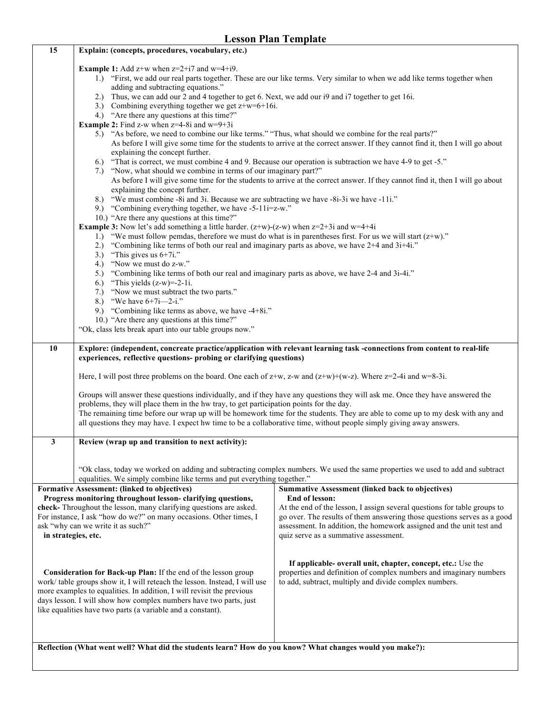| <b>Lesson Plan Template</b>                                                                                                                                                                                                                                                                                                                              |                                                                                                                                                                                                                                                                                                                                                                                                                                                                                                                                                                                                                                                                                                                                                                                                                                                                                                                                                                                                                                                                                                                                                                                                                                                                                                                                                                                                                                                                  |                                                                                                                                                                                                                                                                                                                                                   |  |
|----------------------------------------------------------------------------------------------------------------------------------------------------------------------------------------------------------------------------------------------------------------------------------------------------------------------------------------------------------|------------------------------------------------------------------------------------------------------------------------------------------------------------------------------------------------------------------------------------------------------------------------------------------------------------------------------------------------------------------------------------------------------------------------------------------------------------------------------------------------------------------------------------------------------------------------------------------------------------------------------------------------------------------------------------------------------------------------------------------------------------------------------------------------------------------------------------------------------------------------------------------------------------------------------------------------------------------------------------------------------------------------------------------------------------------------------------------------------------------------------------------------------------------------------------------------------------------------------------------------------------------------------------------------------------------------------------------------------------------------------------------------------------------------------------------------------------------|---------------------------------------------------------------------------------------------------------------------------------------------------------------------------------------------------------------------------------------------------------------------------------------------------------------------------------------------------|--|
| 15                                                                                                                                                                                                                                                                                                                                                       | Explain: (concepts, procedures, vocabulary, etc.)                                                                                                                                                                                                                                                                                                                                                                                                                                                                                                                                                                                                                                                                                                                                                                                                                                                                                                                                                                                                                                                                                                                                                                                                                                                                                                                                                                                                                |                                                                                                                                                                                                                                                                                                                                                   |  |
|                                                                                                                                                                                                                                                                                                                                                          | <b>Example 1:</b> Add $z+w$ when $z=2+i7$ and $w=4+i9$ .<br>1.) "First, we add our real parts together. These are our like terms. Very similar to when we add like terms together when<br>adding and subtracting equations."<br>2.) Thus, we can add our 2 and 4 together to get 6. Next, we add our i9 and i7 together to get 16i.<br>3.) Combining everything together we get $z+w=6+16i$ .<br>4.) "Are there any questions at this time?"<br><b>Example 2:</b> Find z-w when $z=4-8i$ and $w=9+3i$<br>5.) "As before, we need to combine our like terms." "Thus, what should we combine for the real parts?"<br>As before I will give some time for the students to arrive at the correct answer. If they cannot find it, then I will go about<br>explaining the concept further.<br>6.) "That is correct, we must combine 4 and 9. Because our operation is subtraction we have 4-9 to get -5."<br>7.) "Now, what should we combine in terms of our imaginary part?"<br>As before I will give some time for the students to arrive at the correct answer. If they cannot find it, then I will go about<br>explaining the concept further.<br>8.) "We must combine -8i and 3i. Because we are subtracting we have -8i-3i we have -11i."<br>9.) "Combining everything together, we have $-5-11i=z-w$ ."<br>10.) "Are there any questions at this time?"<br><b>Example 3:</b> Now let's add something a little harder. $(z+w)-(z-w)$ when $z=2+3i$ and $w=4+4i$ |                                                                                                                                                                                                                                                                                                                                                   |  |
|                                                                                                                                                                                                                                                                                                                                                          | 1.) "We must follow pemdas, therefore we must do what is in parentheses first. For us we will start $(z+w)$ ."<br>"Combining like terms of both our real and imaginary parts as above, we have 2+4 and 3i+4i."<br>2.)                                                                                                                                                                                                                                                                                                                                                                                                                                                                                                                                                                                                                                                                                                                                                                                                                                                                                                                                                                                                                                                                                                                                                                                                                                            |                                                                                                                                                                                                                                                                                                                                                   |  |
|                                                                                                                                                                                                                                                                                                                                                          | "This gives us $6+7i$ ."<br>3.)                                                                                                                                                                                                                                                                                                                                                                                                                                                                                                                                                                                                                                                                                                                                                                                                                                                                                                                                                                                                                                                                                                                                                                                                                                                                                                                                                                                                                                  |                                                                                                                                                                                                                                                                                                                                                   |  |
|                                                                                                                                                                                                                                                                                                                                                          | "Now we must do z-w."<br>4.)<br>"Combining like terms of both our real and imaginary parts as above, we have 2-4 and 3i-4i."<br>5.)<br>"This yields $(z-w)=2-1i$ .<br>6.)                                                                                                                                                                                                                                                                                                                                                                                                                                                                                                                                                                                                                                                                                                                                                                                                                                                                                                                                                                                                                                                                                                                                                                                                                                                                                        |                                                                                                                                                                                                                                                                                                                                                   |  |
|                                                                                                                                                                                                                                                                                                                                                          | "Now we must subtract the two parts."<br>7.)<br>8.) "We have $6+7i$ —2-i."                                                                                                                                                                                                                                                                                                                                                                                                                                                                                                                                                                                                                                                                                                                                                                                                                                                                                                                                                                                                                                                                                                                                                                                                                                                                                                                                                                                       |                                                                                                                                                                                                                                                                                                                                                   |  |
|                                                                                                                                                                                                                                                                                                                                                          | 9.) "Combining like terms as above, we have -4+8i."<br>10.) "Are there any questions at this time?"                                                                                                                                                                                                                                                                                                                                                                                                                                                                                                                                                                                                                                                                                                                                                                                                                                                                                                                                                                                                                                                                                                                                                                                                                                                                                                                                                              |                                                                                                                                                                                                                                                                                                                                                   |  |
|                                                                                                                                                                                                                                                                                                                                                          | "Ok, class lets break apart into our table groups now."                                                                                                                                                                                                                                                                                                                                                                                                                                                                                                                                                                                                                                                                                                                                                                                                                                                                                                                                                                                                                                                                                                                                                                                                                                                                                                                                                                                                          |                                                                                                                                                                                                                                                                                                                                                   |  |
| 10                                                                                                                                                                                                                                                                                                                                                       |                                                                                                                                                                                                                                                                                                                                                                                                                                                                                                                                                                                                                                                                                                                                                                                                                                                                                                                                                                                                                                                                                                                                                                                                                                                                                                                                                                                                                                                                  | Explore: (independent, concreate practice/application with relevant learning task -connections from content to real-life                                                                                                                                                                                                                          |  |
|                                                                                                                                                                                                                                                                                                                                                          | experiences, reflective questions- probing or clarifying questions)                                                                                                                                                                                                                                                                                                                                                                                                                                                                                                                                                                                                                                                                                                                                                                                                                                                                                                                                                                                                                                                                                                                                                                                                                                                                                                                                                                                              |                                                                                                                                                                                                                                                                                                                                                   |  |
|                                                                                                                                                                                                                                                                                                                                                          | Here, I will post three problems on the board. One each of $z+w$ , z-w and $(z+w)+(w-z)$ . Where $z=2-4i$ and $w=8-3i$ .                                                                                                                                                                                                                                                                                                                                                                                                                                                                                                                                                                                                                                                                                                                                                                                                                                                                                                                                                                                                                                                                                                                                                                                                                                                                                                                                         |                                                                                                                                                                                                                                                                                                                                                   |  |
|                                                                                                                                                                                                                                                                                                                                                          | Groups will answer these questions individually, and if they have any questions they will ask me. Once they have answered the<br>problems, they will place them in the hw tray, to get participation points for the day.<br>The remaining time before our wrap up will be homework time for the students. They are able to come up to my desk with any and<br>all questions they may have. I expect hw time to be a collaborative time, without people simply giving away answers.                                                                                                                                                                                                                                                                                                                                                                                                                                                                                                                                                                                                                                                                                                                                                                                                                                                                                                                                                                               |                                                                                                                                                                                                                                                                                                                                                   |  |
| 3                                                                                                                                                                                                                                                                                                                                                        | Review (wrap up and transition to next activity):                                                                                                                                                                                                                                                                                                                                                                                                                                                                                                                                                                                                                                                                                                                                                                                                                                                                                                                                                                                                                                                                                                                                                                                                                                                                                                                                                                                                                |                                                                                                                                                                                                                                                                                                                                                   |  |
|                                                                                                                                                                                                                                                                                                                                                          |                                                                                                                                                                                                                                                                                                                                                                                                                                                                                                                                                                                                                                                                                                                                                                                                                                                                                                                                                                                                                                                                                                                                                                                                                                                                                                                                                                                                                                                                  |                                                                                                                                                                                                                                                                                                                                                   |  |
|                                                                                                                                                                                                                                                                                                                                                          | equalities. We simply combine like terms and put everything together."                                                                                                                                                                                                                                                                                                                                                                                                                                                                                                                                                                                                                                                                                                                                                                                                                                                                                                                                                                                                                                                                                                                                                                                                                                                                                                                                                                                           | "Ok class, today we worked on adding and subtracting complex numbers. We used the same properties we used to add and subtract                                                                                                                                                                                                                     |  |
| Formative Assessment: (linked to objectives)<br>Progress monitoring throughout lesson-clarifying questions,<br>check- Throughout the lesson, many clarifying questions are asked.<br>For instance, I ask "how do we?" on many occasions. Other times, I<br>ask "why can we write it as such?"<br>in strategies, etc.                                     |                                                                                                                                                                                                                                                                                                                                                                                                                                                                                                                                                                                                                                                                                                                                                                                                                                                                                                                                                                                                                                                                                                                                                                                                                                                                                                                                                                                                                                                                  | <b>Summative Assessment (linked back to objectives)</b><br>End of lesson:<br>At the end of the lesson, I assign several questions for table groups to<br>go over. The results of them answering those questions serves as a good<br>assessment. In addition, the homework assigned and the unit test and<br>quiz serve as a summative assessment. |  |
| Consideration for Back-up Plan: If the end of the lesson group<br>work/table groups show it, I will reteach the lesson. Instead, I will use<br>more examples to equalities. In addition, I will revisit the previous<br>days lesson. I will show how complex numbers have two parts, just<br>like equalities have two parts (a variable and a constant). |                                                                                                                                                                                                                                                                                                                                                                                                                                                                                                                                                                                                                                                                                                                                                                                                                                                                                                                                                                                                                                                                                                                                                                                                                                                                                                                                                                                                                                                                  | If applicable- overall unit, chapter, concept, etc.: Use the<br>properties and definition of complex numbers and imaginary numbers<br>to add, subtract, multiply and divide complex numbers.                                                                                                                                                      |  |
|                                                                                                                                                                                                                                                                                                                                                          |                                                                                                                                                                                                                                                                                                                                                                                                                                                                                                                                                                                                                                                                                                                                                                                                                                                                                                                                                                                                                                                                                                                                                                                                                                                                                                                                                                                                                                                                  |                                                                                                                                                                                                                                                                                                                                                   |  |
|                                                                                                                                                                                                                                                                                                                                                          | Reflection (What went well? What did the students learn? How do you know? What changes would you make?):                                                                                                                                                                                                                                                                                                                                                                                                                                                                                                                                                                                                                                                                                                                                                                                                                                                                                                                                                                                                                                                                                                                                                                                                                                                                                                                                                         |                                                                                                                                                                                                                                                                                                                                                   |  |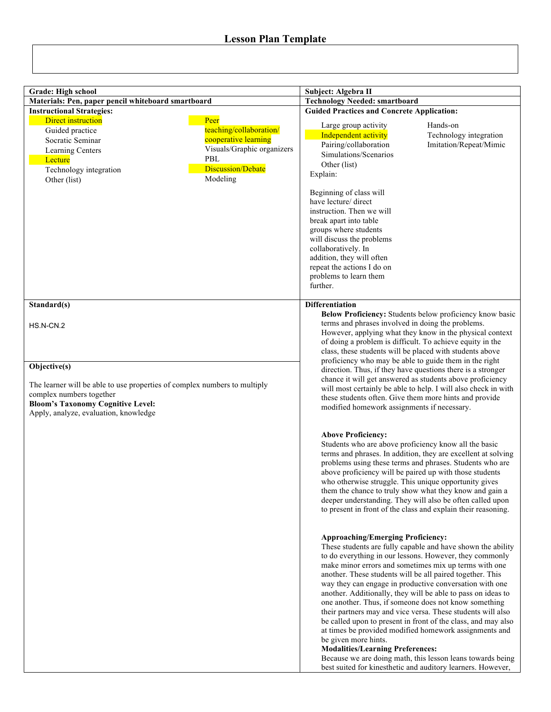| <b>Grade: High school</b>                                                                                                                                                                                  |                                                                                                                                      |                                                                                                                                                                                                                                                                                                                                                                                                                    |                                                                                                                                                                                                                                                                                                                                                                                                                                                                                                                                                                                                                                                                                                                                                         |
|------------------------------------------------------------------------------------------------------------------------------------------------------------------------------------------------------------|--------------------------------------------------------------------------------------------------------------------------------------|--------------------------------------------------------------------------------------------------------------------------------------------------------------------------------------------------------------------------------------------------------------------------------------------------------------------------------------------------------------------------------------------------------------------|---------------------------------------------------------------------------------------------------------------------------------------------------------------------------------------------------------------------------------------------------------------------------------------------------------------------------------------------------------------------------------------------------------------------------------------------------------------------------------------------------------------------------------------------------------------------------------------------------------------------------------------------------------------------------------------------------------------------------------------------------------|
| Materials: Pen, paper pencil whiteboard smartboard                                                                                                                                                         |                                                                                                                                      | Subject: Algebra II<br><b>Technology Needed: smartboard</b>                                                                                                                                                                                                                                                                                                                                                        |                                                                                                                                                                                                                                                                                                                                                                                                                                                                                                                                                                                                                                                                                                                                                         |
| <b>Instructional Strategies:</b>                                                                                                                                                                           |                                                                                                                                      | <b>Guided Practices and Concrete Application:</b>                                                                                                                                                                                                                                                                                                                                                                  |                                                                                                                                                                                                                                                                                                                                                                                                                                                                                                                                                                                                                                                                                                                                                         |
| Direct instruction<br>Guided practice<br>Socratic Seminar<br>Learning Centers<br>Lecture<br>Technology integration<br>Other (list)                                                                         | Peer<br>teaching/collaboration/<br>cooperative learning<br>Visuals/Graphic organizers<br>PBL<br><b>Discussion/Debate</b><br>Modeling | Large group activity<br>Independent activity<br>Pairing/collaboration<br>Simulations/Scenarios<br>Other (list)<br>Explain:<br>Beginning of class will<br>have lecture/ direct<br>instruction. Then we will<br>break apart into table<br>groups where students<br>will discuss the problems<br>collaboratively. In<br>addition, they will often<br>repeat the actions I do on<br>problems to learn them<br>further. | Hands-on<br>Technology integration<br>Imitation/Repeat/Mimic                                                                                                                                                                                                                                                                                                                                                                                                                                                                                                                                                                                                                                                                                            |
| Standard(s)<br>HS.N-CN.2                                                                                                                                                                                   |                                                                                                                                      | <b>Differentiation</b><br>terms and phrases involved in doing the problems.<br>of doing a problem is difficult. To achieve equity in the<br>class, these students will be placed with students above                                                                                                                                                                                                               | Below Proficiency: Students below proficiency know basic<br>However, applying what they know in the physical context                                                                                                                                                                                                                                                                                                                                                                                                                                                                                                                                                                                                                                    |
| Objective(s)<br>The learner will be able to use properties of complex numbers to multiply<br>complex numbers together<br><b>Bloom's Taxonomy Cognitive Level:</b><br>Apply, analyze, evaluation, knowledge |                                                                                                                                      | proficiency who may be able to guide them in the right<br>direction. Thus, if they have questions there is a stronger<br>chance it will get answered as students above proficiency<br>will most certainly be able to help. I will also check in with<br>these students often. Give them more hints and provide<br>modified homework assignments if necessary.                                                      |                                                                                                                                                                                                                                                                                                                                                                                                                                                                                                                                                                                                                                                                                                                                                         |
|                                                                                                                                                                                                            |                                                                                                                                      | <b>Above Proficiency:</b><br>Students who are above proficiency know all the basic<br>above proficiency will be paired up with those students<br>who otherwise struggle. This unique opportunity gives                                                                                                                                                                                                             | terms and phrases. In addition, they are excellent at solving<br>problems using these terms and phrases. Students who are<br>them the chance to truly show what they know and gain a<br>deeper understanding. They will also be often called upon<br>to present in front of the class and explain their reasoning.                                                                                                                                                                                                                                                                                                                                                                                                                                      |
|                                                                                                                                                                                                            |                                                                                                                                      | <b>Approaching/Emerging Proficiency:</b><br>be given more hints.<br><b>Modalities/Learning Preferences:</b>                                                                                                                                                                                                                                                                                                        | These students are fully capable and have shown the ability<br>to do everything in our lessons. However, they commonly<br>make minor errors and sometimes mix up terms with one<br>another. These students will be all paired together. This<br>way they can engage in productive conversation with one<br>another. Additionally, they will be able to pass on ideas to<br>one another. Thus, if someone does not know something<br>their partners may and vice versa. These students will also<br>be called upon to present in front of the class, and may also<br>at times be provided modified homework assignments and<br>Because we are doing math, this lesson leans towards being<br>best suited for kinesthetic and auditory learners. However, |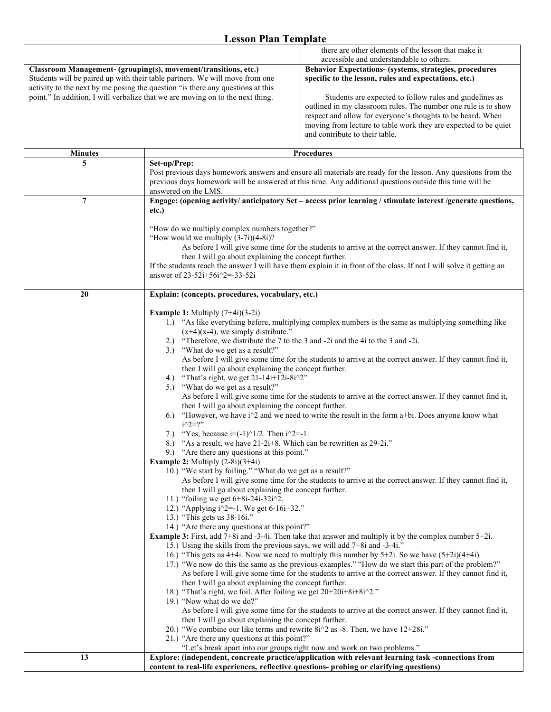|                | there are other elements of the lesson that make it                                                                                                                                                                |  |
|----------------|--------------------------------------------------------------------------------------------------------------------------------------------------------------------------------------------------------------------|--|
|                | accessible and understandable to others.<br>Behavior Expectations- (systems, strategies, procedures                                                                                                                |  |
|                | Classroom Management- (grouping(s), movement/transitions, etc.)<br>Students will be paired up with their table partners. We will move from one<br>specific to the lesson, rules and expectations, etc.)            |  |
|                | activity to the next by me posing the question "is there any questions at this                                                                                                                                     |  |
|                | point." In addition, I will verbalize that we are moving on to the next thing.<br>Students are expected to follow rules and guidelines as                                                                          |  |
|                | outlined in my classroom rules. The number one rule is to show                                                                                                                                                     |  |
|                | respect and allow for everyone's thoughts to be heard. When                                                                                                                                                        |  |
|                | moving from lecture to table work they are expected to be quiet                                                                                                                                                    |  |
|                | and contribute to their table.                                                                                                                                                                                     |  |
| <b>Minutes</b> | <b>Procedures</b>                                                                                                                                                                                                  |  |
| 5              | Set-up/Prep:                                                                                                                                                                                                       |  |
|                | Post previous days homework answers and ensure all materials are ready for the lesson. Any questions from the                                                                                                      |  |
|                | previous days homework will be answered at this time. Any additional questions outside this time will be                                                                                                           |  |
| $\overline{7}$ | answered on the LMS.                                                                                                                                                                                               |  |
|                | Engage: (opening activity/ anticipatory Set - access prior learning / stimulate interest /generate questions,<br>etc.)                                                                                             |  |
|                |                                                                                                                                                                                                                    |  |
|                | "How do we multiply complex numbers together?"                                                                                                                                                                     |  |
|                | "How would we multiply $(3-7i)(4-8i)$ ?"                                                                                                                                                                           |  |
|                | As before I will give some time for the students to arrive at the correct answer. If they cannot find it,                                                                                                          |  |
|                | then I will go about explaining the concept further.<br>If the students reach the answer I will have them explain it in front of the class. If not I will solve it getting an                                      |  |
|                | answer of $23-52i+56i^2 = -33-52i$                                                                                                                                                                                 |  |
|                |                                                                                                                                                                                                                    |  |
| 20             | Explain: (concepts, procedures, vocabulary, etc.)                                                                                                                                                                  |  |
|                | <b>Example 1:</b> Multiply $(7+4i)(3-2i)$                                                                                                                                                                          |  |
|                | 1.) "As like everything before, multiplying complex numbers is the same as multiplying something like                                                                                                              |  |
|                | $(x+4)(x-4)$ , we simply distribute."                                                                                                                                                                              |  |
|                | 2.) "Therefore, we distribute the 7 to the 3 and -2i and the 4i to the 3 and -2i.                                                                                                                                  |  |
|                | "What do we get as a result?"<br>3.                                                                                                                                                                                |  |
|                | As before I will give some time for the students to arrive at the correct answer. If they cannot find it,<br>then I will go about explaining the concept further.<br>4.) "That's right, we get $21-14i+12i-8i^2$ " |  |
|                |                                                                                                                                                                                                                    |  |
|                | 5.) "What do we get as a result?"                                                                                                                                                                                  |  |
|                | As before I will give some time for the students to arrive at the correct answer. If they cannot find it,                                                                                                          |  |
|                | then I will go about explaining the concept further.                                                                                                                                                               |  |
|                | "However, we have $i^2$ and we need to write the result in the form a+bi. Does anyone know what<br>6.<br>$i^22 = ?$                                                                                                |  |
|                | "Yes, because $i = (-1)^{1/2}$ . Then $i^2 = -1$ .<br>7.)                                                                                                                                                          |  |
|                | "As a result, we have $21-2i+8$ . Which can be rewritten as $29-2i$ ."<br>8.)                                                                                                                                      |  |
|                | 9.) "Are there any questions at this point."                                                                                                                                                                       |  |
|                | <b>Example 2:</b> Multiply $(2-8i)(3+4i)$                                                                                                                                                                          |  |
|                | 10.) "We start by foiling." "What do we get as a result?"<br>As before I will give some time for the students to arrive at the correct answer. If they cannot find it,                                             |  |
|                | then I will go about explaining the concept further.                                                                                                                                                               |  |
|                | 11.) "foiling we get $6+8i-24i-32i^2$ .                                                                                                                                                                            |  |
|                | 12.) "Applying $i^2 = -1$ . We get 6-16i+32."                                                                                                                                                                      |  |
|                | 13.) "This gets us 38-16i."                                                                                                                                                                                        |  |
|                | 14.) "Are there any questions at this point?"<br><b>Example 3:</b> First, add $7+8i$ and $-3-4i$ . Then take that answer and multiply it by the complex number $5+2i$ .                                            |  |
|                | 15.) Using the skills from the previous says, we will add 7+8i and -3-4i."                                                                                                                                         |  |
|                | 16.) "This gets us 4+4i. Now we need to multiply this number by $5+2i$ . So we have $(5+2i)(4+4i)$<br>17.) "We now do this the same as the previous examples." "How do we start this part of the problem?"         |  |
|                |                                                                                                                                                                                                                    |  |
|                | As before I will give some time for the students to arrive at the correct answer. If they cannot find it,                                                                                                          |  |
|                | then I will go about explaining the concept further.                                                                                                                                                               |  |
|                | 18.) "That's right, we foil. After foiling we get 20+20i+8i+8i^2."<br>19.) "Now what do we do?"                                                                                                                    |  |
|                | As before I will give some time for the students to arrive at the correct answer. If they cannot find it,                                                                                                          |  |
|                | then I will go about explaining the concept further.                                                                                                                                                               |  |
|                | 20.) "We combine our like terms and rewrite $8i^2$ as -8. Then, we have $12+28i$ ."                                                                                                                                |  |
|                | 21.) "Are there any questions at this point?"                                                                                                                                                                      |  |
| 13             | "Let's break apart into our groups right now and work on two problems."<br>Explore: (independent, concreate practice/application with relevant learning task -connections from                                     |  |
|                | content to real-life experiences, reflective questions- probing or clarifying questions)                                                                                                                           |  |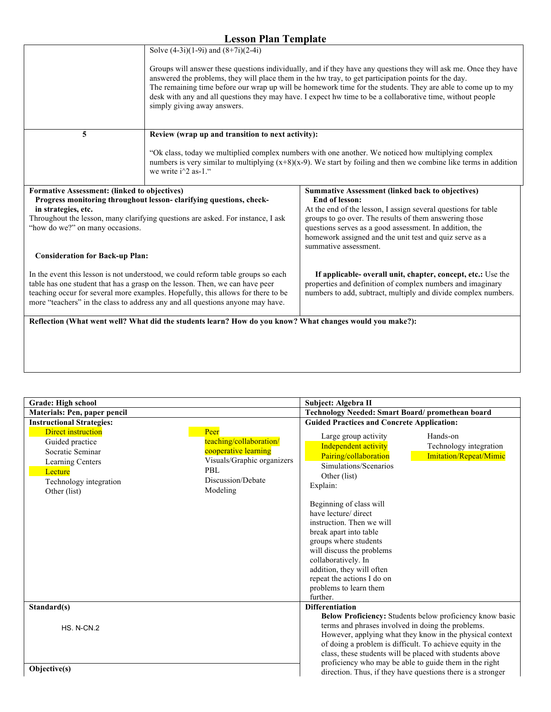|                                                                                                                                                                                                                                                                                                                                        | Solve $(4-3i)(1-9i)$ and $(8+7i)(2-4i)$                                                                                                                                                                                                              |                                                                                                                                                                                                                                                                                                                                                                                                                                                        |
|----------------------------------------------------------------------------------------------------------------------------------------------------------------------------------------------------------------------------------------------------------------------------------------------------------------------------------------|------------------------------------------------------------------------------------------------------------------------------------------------------------------------------------------------------------------------------------------------------|--------------------------------------------------------------------------------------------------------------------------------------------------------------------------------------------------------------------------------------------------------------------------------------------------------------------------------------------------------------------------------------------------------------------------------------------------------|
|                                                                                                                                                                                                                                                                                                                                        | simply giving away answers.                                                                                                                                                                                                                          | Groups will answer these questions individually, and if they have any questions they will ask me. Once they have<br>answered the problems, they will place them in the hw tray, to get participation points for the day.<br>The remaining time before our wrap up will be homework time for the students. They are able to come up to my<br>desk with any and all questions they may have. I expect hw time to be a collaborative time, without people |
| 5                                                                                                                                                                                                                                                                                                                                      | Review (wrap up and transition to next activity):                                                                                                                                                                                                    |                                                                                                                                                                                                                                                                                                                                                                                                                                                        |
|                                                                                                                                                                                                                                                                                                                                        | "Ok class, today we multiplied complex numbers with one another. We noticed how multiplying complex<br>numbers is very similar to multiplying $(x+8)(x-9)$ . We start by foiling and then we combine like terms in addition<br>we write $i^2$ as-1." |                                                                                                                                                                                                                                                                                                                                                                                                                                                        |
| Formative Assessment: (linked to objectives)                                                                                                                                                                                                                                                                                           |                                                                                                                                                                                                                                                      | <b>Summative Assessment (linked back to objectives)</b>                                                                                                                                                                                                                                                                                                                                                                                                |
| in strategies, etc.                                                                                                                                                                                                                                                                                                                    | Progress monitoring throughout lesson-clarifying questions, check-                                                                                                                                                                                   | <b>End of lesson:</b><br>At the end of the lesson, I assign several questions for table                                                                                                                                                                                                                                                                                                                                                                |
|                                                                                                                                                                                                                                                                                                                                        | Throughout the lesson, many clarifying questions are asked. For instance, I ask                                                                                                                                                                      | groups to go over. The results of them answering those                                                                                                                                                                                                                                                                                                                                                                                                 |
| "how do we?" on many occasions.                                                                                                                                                                                                                                                                                                        |                                                                                                                                                                                                                                                      | questions serves as a good assessment. In addition, the                                                                                                                                                                                                                                                                                                                                                                                                |
|                                                                                                                                                                                                                                                                                                                                        |                                                                                                                                                                                                                                                      | homework assigned and the unit test and quiz serve as a                                                                                                                                                                                                                                                                                                                                                                                                |
|                                                                                                                                                                                                                                                                                                                                        |                                                                                                                                                                                                                                                      | summative assessment.                                                                                                                                                                                                                                                                                                                                                                                                                                  |
| <b>Consideration for Back-up Plan:</b>                                                                                                                                                                                                                                                                                                 |                                                                                                                                                                                                                                                      |                                                                                                                                                                                                                                                                                                                                                                                                                                                        |
| In the event this lesson is not understood, we could reform table groups so each<br>table has one student that has a grasp on the lesson. Then, we can have peer<br>teaching occur for several more examples. Hopefully, this allows for there to be<br>more "teachers" in the class to address any and all questions anyone may have. |                                                                                                                                                                                                                                                      | If applicable- overall unit, chapter, concept, etc.: Use the<br>properties and definition of complex numbers and imaginary<br>numbers to add, subtract, multiply and divide complex numbers.                                                                                                                                                                                                                                                           |
|                                                                                                                                                                                                                                                                                                                                        | Reflection (What went well? What did the students learn? How do you know? What changes would you make?):                                                                                                                                             |                                                                                                                                                                                                                                                                                                                                                                                                                                                        |
|                                                                                                                                                                                                                                                                                                                                        |                                                                                                                                                                                                                                                      |                                                                                                                                                                                                                                                                                                                                                                                                                                                        |
|                                                                                                                                                                                                                                                                                                                                        |                                                                                                                                                                                                                                                      |                                                                                                                                                                                                                                                                                                                                                                                                                                                        |
|                                                                                                                                                                                                                                                                                                                                        |                                                                                                                                                                                                                                                      |                                                                                                                                                                                                                                                                                                                                                                                                                                                        |

| Grade: High school                                                                                                                        |                                                                                                                                | Subject: Algebra II                                                                                                                                                                                                                                                                                                                                                                                                |                                                                                                                                                                                                                                                                                                                |
|-------------------------------------------------------------------------------------------------------------------------------------------|--------------------------------------------------------------------------------------------------------------------------------|--------------------------------------------------------------------------------------------------------------------------------------------------------------------------------------------------------------------------------------------------------------------------------------------------------------------------------------------------------------------------------------------------------------------|----------------------------------------------------------------------------------------------------------------------------------------------------------------------------------------------------------------------------------------------------------------------------------------------------------------|
| Materials: Pen, paper pencil                                                                                                              |                                                                                                                                | Technology Needed: Smart Board/ promethean board                                                                                                                                                                                                                                                                                                                                                                   |                                                                                                                                                                                                                                                                                                                |
| <b>Instructional Strategies:</b>                                                                                                          |                                                                                                                                | <b>Guided Practices and Concrete Application:</b>                                                                                                                                                                                                                                                                                                                                                                  |                                                                                                                                                                                                                                                                                                                |
| <b>Direct instruction</b><br>Guided practice<br>Socratic Seminar<br>Learning Centers<br>Lecture<br>Technology integration<br>Other (list) | Peer<br>teaching/collaboration/<br>cooperative learning<br>Visuals/Graphic organizers<br>PBL.<br>Discussion/Debate<br>Modeling | Large group activity<br>Independent activity<br>Pairing/collaboration<br>Simulations/Scenarios<br>Other (list)<br>Explain:<br>Beginning of class will<br>have lecture/ direct<br>instruction. Then we will<br>break apart into table<br>groups where students<br>will discuss the problems<br>collaboratively. In<br>addition, they will often<br>repeat the actions I do on<br>problems to learn them<br>further. | Hands-on<br>Technology integration<br>Imitation/Repeat/Mimic                                                                                                                                                                                                                                                   |
| Standard(s)                                                                                                                               |                                                                                                                                | <b>Differentiation</b>                                                                                                                                                                                                                                                                                                                                                                                             |                                                                                                                                                                                                                                                                                                                |
| <b>HS. N-CN.2</b>                                                                                                                         |                                                                                                                                | terms and phrases involved in doing the problems.                                                                                                                                                                                                                                                                                                                                                                  | <b>Below Proficiency:</b> Students below proficiency know basic<br>However, applying what they know in the physical context<br>of doing a problem is difficult. To achieve equity in the<br>class, these students will be placed with students above<br>proficiency who may be able to guide them in the right |
| Objective(s)                                                                                                                              |                                                                                                                                |                                                                                                                                                                                                                                                                                                                                                                                                                    | direction. Thus, if they have questions there is a stronger                                                                                                                                                                                                                                                    |

г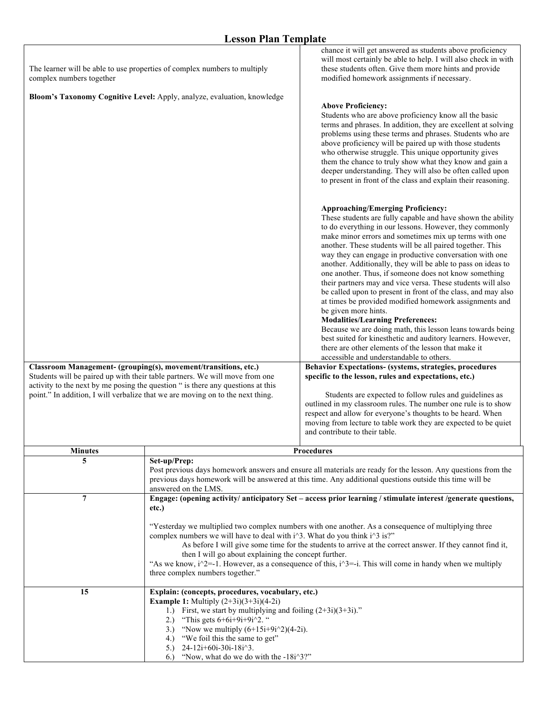| The learner will be able to use properties of complex numbers to multiply<br>complex numbers together<br>Bloom's Taxonomy Cognitive Level: Apply, analyze, evaluation, knowledge<br>Classroom Management- (grouping(s), movement/transitions, etc.)<br>Students will be paired up with their table partners. We will move from one<br>activity to the next by me posing the question " is there any questions at this<br>point." In addition, I will verbalize that we are moving on to the next thing. |                                                                                                                                                                                                                                                                                                                                                                                                                                                                                                                                                                                                                                          | chance it will get answered as students above proficiency<br>will most certainly be able to help. I will also check in with<br>these students often. Give them more hints and provide<br>modified homework assignments if necessary.<br><b>Above Proficiency:</b><br>Students who are above proficiency know all the basic<br>terms and phrases. In addition, they are excellent at solving<br>problems using these terms and phrases. Students who are<br>above proficiency will be paired up with those students<br>who otherwise struggle. This unique opportunity gives<br>them the chance to truly show what they know and gain a<br>deeper understanding. They will also be often called upon<br>to present in front of the class and explain their reasoning.<br><b>Approaching/Emerging Proficiency:</b><br>These students are fully capable and have shown the ability<br>to do everything in our lessons. However, they commonly<br>make minor errors and sometimes mix up terms with one<br>another. These students will be all paired together. This<br>way they can engage in productive conversation with one<br>another. Additionally, they will be able to pass on ideas to<br>one another. Thus, if someone does not know something<br>their partners may and vice versa. These students will also<br>be called upon to present in front of the class, and may also<br>at times be provided modified homework assignments and<br>be given more hints.<br><b>Modalities/Learning Preferences:</b><br>Because we are doing math, this lesson leans towards being<br>best suited for kinesthetic and auditory learners. However,<br>there are other elements of the lesson that make it<br>accessible and understandable to others.<br>Behavior Expectations- (systems, strategies, procedures<br>specific to the lesson, rules and expectations, etc.)<br>Students are expected to follow rules and guidelines as<br>outlined in my classroom rules. The number one rule is to show<br>respect and allow for everyone's thoughts to be heard. When<br>moving from lecture to table work they are expected to be quiet |
|---------------------------------------------------------------------------------------------------------------------------------------------------------------------------------------------------------------------------------------------------------------------------------------------------------------------------------------------------------------------------------------------------------------------------------------------------------------------------------------------------------|------------------------------------------------------------------------------------------------------------------------------------------------------------------------------------------------------------------------------------------------------------------------------------------------------------------------------------------------------------------------------------------------------------------------------------------------------------------------------------------------------------------------------------------------------------------------------------------------------------------------------------------|--------------------------------------------------------------------------------------------------------------------------------------------------------------------------------------------------------------------------------------------------------------------------------------------------------------------------------------------------------------------------------------------------------------------------------------------------------------------------------------------------------------------------------------------------------------------------------------------------------------------------------------------------------------------------------------------------------------------------------------------------------------------------------------------------------------------------------------------------------------------------------------------------------------------------------------------------------------------------------------------------------------------------------------------------------------------------------------------------------------------------------------------------------------------------------------------------------------------------------------------------------------------------------------------------------------------------------------------------------------------------------------------------------------------------------------------------------------------------------------------------------------------------------------------------------------------------------------------------------------------------------------------------------------------------------------------------------------------------------------------------------------------------------------------------------------------------------------------------------------------------------------------------------------------------------------------------------------------------------------------------------------------------------------------------------------------------------------------------------------------------------------|
|                                                                                                                                                                                                                                                                                                                                                                                                                                                                                                         |                                                                                                                                                                                                                                                                                                                                                                                                                                                                                                                                                                                                                                          | and contribute to their table.                                                                                                                                                                                                                                                                                                                                                                                                                                                                                                                                                                                                                                                                                                                                                                                                                                                                                                                                                                                                                                                                                                                                                                                                                                                                                                                                                                                                                                                                                                                                                                                                                                                                                                                                                                                                                                                                                                                                                                                                                                                                                                       |
| <b>Minutes</b>                                                                                                                                                                                                                                                                                                                                                                                                                                                                                          |                                                                                                                                                                                                                                                                                                                                                                                                                                                                                                                                                                                                                                          | <b>Procedures</b>                                                                                                                                                                                                                                                                                                                                                                                                                                                                                                                                                                                                                                                                                                                                                                                                                                                                                                                                                                                                                                                                                                                                                                                                                                                                                                                                                                                                                                                                                                                                                                                                                                                                                                                                                                                                                                                                                                                                                                                                                                                                                                                    |
| 5                                                                                                                                                                                                                                                                                                                                                                                                                                                                                                       | Set-up/Prep:<br>Post previous days homework answers and ensure all materials are ready for the lesson. Any questions from the<br>previous days homework will be answered at this time. Any additional questions outside this time will be<br>answered on the LMS.                                                                                                                                                                                                                                                                                                                                                                        |                                                                                                                                                                                                                                                                                                                                                                                                                                                                                                                                                                                                                                                                                                                                                                                                                                                                                                                                                                                                                                                                                                                                                                                                                                                                                                                                                                                                                                                                                                                                                                                                                                                                                                                                                                                                                                                                                                                                                                                                                                                                                                                                      |
| $\tau$                                                                                                                                                                                                                                                                                                                                                                                                                                                                                                  | Engage: (opening activity/ anticipatory Set - access prior learning / stimulate interest /generate questions,<br>etc.)<br>"Yesterday we multiplied two complex numbers with one another. As a consequence of multiplying three<br>complex numbers we will have to deal with i^3. What do you think i^3 is?"<br>As before I will give some time for the students to arrive at the correct answer. If they cannot find it,<br>then I will go about explaining the concept further.<br>"As we know, $i^2$ = -1. However, as a consequence of this, $i^3$ = -i. This will come in handy when we multiply<br>three complex numbers together." |                                                                                                                                                                                                                                                                                                                                                                                                                                                                                                                                                                                                                                                                                                                                                                                                                                                                                                                                                                                                                                                                                                                                                                                                                                                                                                                                                                                                                                                                                                                                                                                                                                                                                                                                                                                                                                                                                                                                                                                                                                                                                                                                      |
| 15                                                                                                                                                                                                                                                                                                                                                                                                                                                                                                      | Explain: (concepts, procedures, vocabulary, etc.)<br><b>Example 1:</b> Multiply $(2+3i)(3+3i)(4-2i)$<br>First, we start by multiplying and foiling $(2+3i)(3+3i)$ ."<br>1.<br>"This gets $6+6i+9i+9i^2$ "<br>2.)<br>"Now we multiply $(6+15i+9i^2)(4-2i)$ .<br>3.<br>"We foil this the same to get"<br>4.)<br>24-12i+60i-30i-18i^3.<br>5.)<br>"Now, what do we do with the -18i^3?"<br>6.                                                                                                                                                                                                                                                |                                                                                                                                                                                                                                                                                                                                                                                                                                                                                                                                                                                                                                                                                                                                                                                                                                                                                                                                                                                                                                                                                                                                                                                                                                                                                                                                                                                                                                                                                                                                                                                                                                                                                                                                                                                                                                                                                                                                                                                                                                                                                                                                      |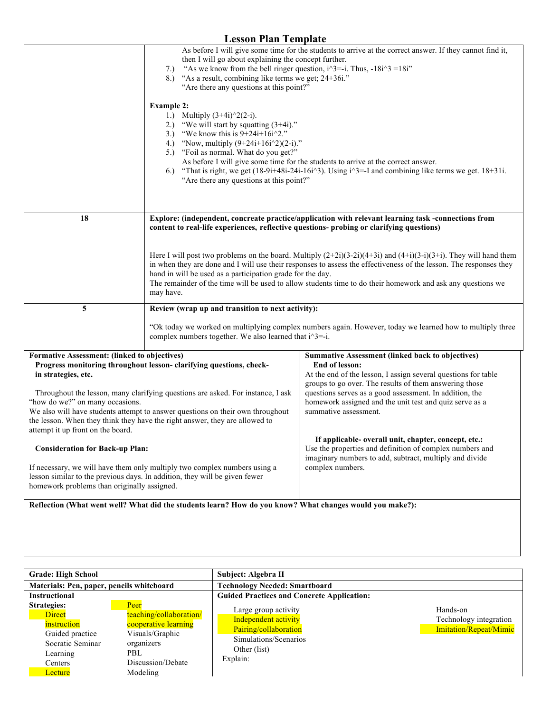|                                                                                                                           | As before I will give some time for the students to arrive at the correct answer. If they cannot find it,<br>then I will go about explaining the concept further.                |                                                                                                                          |  |
|---------------------------------------------------------------------------------------------------------------------------|----------------------------------------------------------------------------------------------------------------------------------------------------------------------------------|--------------------------------------------------------------------------------------------------------------------------|--|
|                                                                                                                           | "As we know from the bell ringer question, $i^3 = -i$ . Thus, $-18i^3 = 18i$ "<br>7.)                                                                                            |                                                                                                                          |  |
|                                                                                                                           | "As a result, combining like terms we get; 24+36i."<br>8.)<br>"Are there any questions at this point?"                                                                           |                                                                                                                          |  |
|                                                                                                                           |                                                                                                                                                                                  |                                                                                                                          |  |
|                                                                                                                           | <b>Example 2:</b>                                                                                                                                                                |                                                                                                                          |  |
|                                                                                                                           | 1.) Multiply $(3+4i)^{2}(2-i)$ .                                                                                                                                                 |                                                                                                                          |  |
|                                                                                                                           | 2.) "We will start by squatting $(3+4i)$ ."<br>"We know this is $9+24i+16i^2$ ."<br>3.                                                                                           |                                                                                                                          |  |
|                                                                                                                           | "Now, multiply $(9+24i+16i^2)(2-i)$ ."<br>4.)                                                                                                                                    |                                                                                                                          |  |
|                                                                                                                           | 5.) "Foil as normal. What do you get?"                                                                                                                                           |                                                                                                                          |  |
|                                                                                                                           |                                                                                                                                                                                  | As before I will give some time for the students to arrive at the correct answer.                                        |  |
|                                                                                                                           | 6.<br>"Are there any questions at this point?"                                                                                                                                   | "That is right, we get $(18-9i+48i-24i-16i^3)$ . Using $i^3=-1$ and combining like terms we get. $18+31i$ .              |  |
|                                                                                                                           |                                                                                                                                                                                  |                                                                                                                          |  |
|                                                                                                                           |                                                                                                                                                                                  |                                                                                                                          |  |
|                                                                                                                           |                                                                                                                                                                                  |                                                                                                                          |  |
| 18                                                                                                                        | content to real-life experiences, reflective questions- probing or clarifying questions)                                                                                         | Explore: (independent, concreate practice/application with relevant learning task -connections from                      |  |
|                                                                                                                           |                                                                                                                                                                                  |                                                                                                                          |  |
|                                                                                                                           |                                                                                                                                                                                  |                                                                                                                          |  |
|                                                                                                                           | Here I will post two problems on the board. Multiply $(2+2i)(3-2i)(4+3i)$ and $(4+i)(3-i)(3+i)$ . They will hand them                                                            |                                                                                                                          |  |
|                                                                                                                           | in when they are done and I will use their responses to assess the effectiveness of the lesson. The responses they<br>hand in will be used as a participation grade for the day. |                                                                                                                          |  |
|                                                                                                                           | The remainder of the time will be used to allow students time to do their homework and ask any questions we                                                                      |                                                                                                                          |  |
|                                                                                                                           | may have.                                                                                                                                                                        |                                                                                                                          |  |
| 5                                                                                                                         | Review (wrap up and transition to next activity):                                                                                                                                |                                                                                                                          |  |
|                                                                                                                           | "Ok today we worked on multiplying complex numbers again. However, today we learned how to multiply three                                                                        |                                                                                                                          |  |
|                                                                                                                           | complex numbers together. We also learned that i^3=-i.                                                                                                                           |                                                                                                                          |  |
| Formative Assessment: (linked to objectives)                                                                              |                                                                                                                                                                                  | <b>Summative Assessment (linked back to objectives)</b>                                                                  |  |
|                                                                                                                           | Progress monitoring throughout lesson-clarifying questions, check-                                                                                                               | End of lesson:                                                                                                           |  |
| in strategies, etc.                                                                                                       |                                                                                                                                                                                  | At the end of the lesson, I assign several questions for table<br>groups to go over. The results of them answering those |  |
|                                                                                                                           | Throughout the lesson, many clarifying questions are asked. For instance, I ask                                                                                                  | questions serves as a good assessment. In addition, the                                                                  |  |
| "how do we?" on many occasions.                                                                                           |                                                                                                                                                                                  | homework assigned and the unit test and quiz serve as a                                                                  |  |
|                                                                                                                           | We also will have students attempt to answer questions on their own throughout                                                                                                   | summative assessment.                                                                                                    |  |
| the lesson. When they think they have the right answer, they are allowed to<br>attempt it up front on the board.          |                                                                                                                                                                                  |                                                                                                                          |  |
|                                                                                                                           |                                                                                                                                                                                  | If applicable- overall unit, chapter, concept, etc.:                                                                     |  |
| <b>Consideration for Back-up Plan:</b>                                                                                    |                                                                                                                                                                                  | Use the properties and definition of complex numbers and                                                                 |  |
|                                                                                                                           |                                                                                                                                                                                  | imaginary numbers to add, subtract, multiply and divide                                                                  |  |
|                                                                                                                           | If necessary, we will have them only multiply two complex numbers using a                                                                                                        | complex numbers.                                                                                                         |  |
| lesson similar to the previous days. In addition, they will be given fewer<br>homework problems than originally assigned. |                                                                                                                                                                                  |                                                                                                                          |  |
|                                                                                                                           |                                                                                                                                                                                  |                                                                                                                          |  |
|                                                                                                                           | Reflection (What went well? What did the students learn? How do you know? What changes would you make?):                                                                         |                                                                                                                          |  |
|                                                                                                                           |                                                                                                                                                                                  |                                                                                                                          |  |

| <b>Grade: High School</b>                                                                                                   |                                                                                                                                  | Subject: Algebra II                                                                                                        |                                                              |
|-----------------------------------------------------------------------------------------------------------------------------|----------------------------------------------------------------------------------------------------------------------------------|----------------------------------------------------------------------------------------------------------------------------|--------------------------------------------------------------|
| Materials: Pen, paper, pencils whiteboard                                                                                   |                                                                                                                                  | <b>Technology Needed: Smartboard</b>                                                                                       |                                                              |
| Instructional                                                                                                               |                                                                                                                                  | <b>Guided Practices and Concrete Application:</b>                                                                          |                                                              |
| <b>Strategies:</b><br><b>Direct</b><br>instruction<br>Guided practice<br>Socratic Seminar<br>Learning<br>Centers<br>Lecture | Peer<br>teaching/collaboration/<br>cooperative learning<br>Visuals/Graphic<br>organizers<br>PBL<br>Discussion/Debate<br>Modeling | Large group activity<br>Independent activity<br>Pairing/collaboration<br>Simulations/Scenarios<br>Other (list)<br>Explain: | Hands-on<br>Technology integration<br>Imitation/Repeat/Mimic |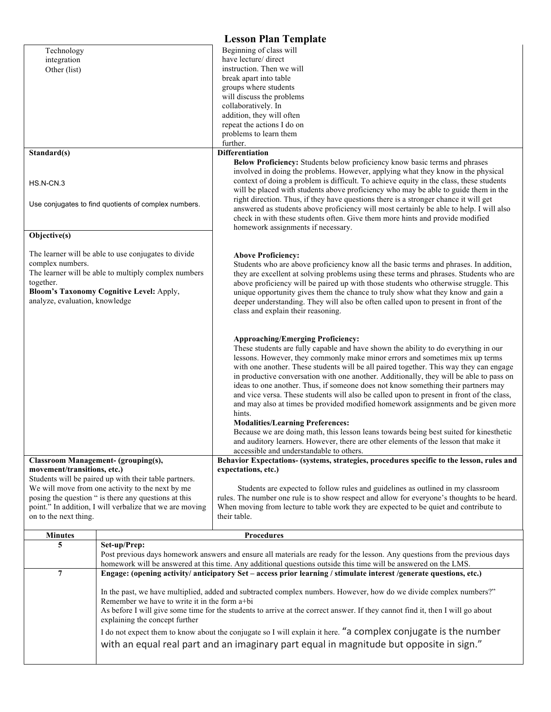| <b>Lesson Plan Template</b>                                                                                                    |                                                                                                                                                                                                                                                |                                                                                                                                                                                                                                                                                                                                                                                                                                                                                                                                                                                                                                                                                       |  |  |
|--------------------------------------------------------------------------------------------------------------------------------|------------------------------------------------------------------------------------------------------------------------------------------------------------------------------------------------------------------------------------------------|---------------------------------------------------------------------------------------------------------------------------------------------------------------------------------------------------------------------------------------------------------------------------------------------------------------------------------------------------------------------------------------------------------------------------------------------------------------------------------------------------------------------------------------------------------------------------------------------------------------------------------------------------------------------------------------|--|--|
| Technology                                                                                                                     |                                                                                                                                                                                                                                                | Beginning of class will                                                                                                                                                                                                                                                                                                                                                                                                                                                                                                                                                                                                                                                               |  |  |
| integration                                                                                                                    |                                                                                                                                                                                                                                                | have lecture/ direct                                                                                                                                                                                                                                                                                                                                                                                                                                                                                                                                                                                                                                                                  |  |  |
| Other (list)                                                                                                                   |                                                                                                                                                                                                                                                | instruction. Then we will                                                                                                                                                                                                                                                                                                                                                                                                                                                                                                                                                                                                                                                             |  |  |
|                                                                                                                                |                                                                                                                                                                                                                                                | break apart into table<br>groups where students                                                                                                                                                                                                                                                                                                                                                                                                                                                                                                                                                                                                                                       |  |  |
|                                                                                                                                |                                                                                                                                                                                                                                                | will discuss the problems                                                                                                                                                                                                                                                                                                                                                                                                                                                                                                                                                                                                                                                             |  |  |
|                                                                                                                                |                                                                                                                                                                                                                                                | collaboratively. In                                                                                                                                                                                                                                                                                                                                                                                                                                                                                                                                                                                                                                                                   |  |  |
|                                                                                                                                |                                                                                                                                                                                                                                                | addition, they will often                                                                                                                                                                                                                                                                                                                                                                                                                                                                                                                                                                                                                                                             |  |  |
|                                                                                                                                |                                                                                                                                                                                                                                                | repeat the actions I do on                                                                                                                                                                                                                                                                                                                                                                                                                                                                                                                                                                                                                                                            |  |  |
|                                                                                                                                |                                                                                                                                                                                                                                                | problems to learn them                                                                                                                                                                                                                                                                                                                                                                                                                                                                                                                                                                                                                                                                |  |  |
|                                                                                                                                |                                                                                                                                                                                                                                                | further.                                                                                                                                                                                                                                                                                                                                                                                                                                                                                                                                                                                                                                                                              |  |  |
| Standard(s)                                                                                                                    |                                                                                                                                                                                                                                                | <b>Differentiation</b>                                                                                                                                                                                                                                                                                                                                                                                                                                                                                                                                                                                                                                                                |  |  |
| HS.N-CN.3<br>Use conjugates to find quotients of complex numbers.                                                              |                                                                                                                                                                                                                                                | Below Proficiency: Students below proficiency know basic terms and phrases<br>involved in doing the problems. However, applying what they know in the physical<br>context of doing a problem is difficult. To achieve equity in the class, these students<br>will be placed with students above proficiency who may be able to guide them in the<br>right direction. Thus, if they have questions there is a stronger chance it will get<br>answered as students above proficiency will most certainly be able to help. I will also<br>check in with these students often. Give them more hints and provide modified<br>homework assignments if necessary.                            |  |  |
| Objective(s)                                                                                                                   |                                                                                                                                                                                                                                                |                                                                                                                                                                                                                                                                                                                                                                                                                                                                                                                                                                                                                                                                                       |  |  |
|                                                                                                                                |                                                                                                                                                                                                                                                |                                                                                                                                                                                                                                                                                                                                                                                                                                                                                                                                                                                                                                                                                       |  |  |
|                                                                                                                                | The learner will be able to use conjugates to divide                                                                                                                                                                                           | <b>Above Proficiency:</b>                                                                                                                                                                                                                                                                                                                                                                                                                                                                                                                                                                                                                                                             |  |  |
| complex numbers.                                                                                                               | The learner will be able to multiply complex numbers                                                                                                                                                                                           | Students who are above proficiency know all the basic terms and phrases. In addition,<br>they are excellent at solving problems using these terms and phrases. Students who are                                                                                                                                                                                                                                                                                                                                                                                                                                                                                                       |  |  |
| together.                                                                                                                      |                                                                                                                                                                                                                                                | above proficiency will be paired up with those students who otherwise struggle. This                                                                                                                                                                                                                                                                                                                                                                                                                                                                                                                                                                                                  |  |  |
|                                                                                                                                | Bloom's Taxonomy Cognitive Level: Apply,                                                                                                                                                                                                       | unique opportunity gives them the chance to truly show what they know and gain a                                                                                                                                                                                                                                                                                                                                                                                                                                                                                                                                                                                                      |  |  |
| analyze, evaluation, knowledge                                                                                                 |                                                                                                                                                                                                                                                | deeper understanding. They will also be often called upon to present in front of the                                                                                                                                                                                                                                                                                                                                                                                                                                                                                                                                                                                                  |  |  |
|                                                                                                                                |                                                                                                                                                                                                                                                | class and explain their reasoning.                                                                                                                                                                                                                                                                                                                                                                                                                                                                                                                                                                                                                                                    |  |  |
|                                                                                                                                |                                                                                                                                                                                                                                                |                                                                                                                                                                                                                                                                                                                                                                                                                                                                                                                                                                                                                                                                                       |  |  |
|                                                                                                                                |                                                                                                                                                                                                                                                | <b>Approaching/Emerging Proficiency:</b><br>These students are fully capable and have shown the ability to do everything in our<br>lessons. However, they commonly make minor errors and sometimes mix up terms<br>with one another. These students will be all paired together. This way they can engage<br>in productive conversation with one another. Additionally, they will be able to pass on<br>ideas to one another. Thus, if someone does not know something their partners may<br>and vice versa. These students will also be called upon to present in front of the class,<br>and may also at times be provided modified homework assignments and be given more<br>hints. |  |  |
|                                                                                                                                |                                                                                                                                                                                                                                                | <b>Modalities/Learning Preferences:</b><br>Because we are doing math, this lesson leans towards being best suited for kinesthetic                                                                                                                                                                                                                                                                                                                                                                                                                                                                                                                                                     |  |  |
|                                                                                                                                |                                                                                                                                                                                                                                                | and auditory learners. However, there are other elements of the lesson that make it                                                                                                                                                                                                                                                                                                                                                                                                                                                                                                                                                                                                   |  |  |
|                                                                                                                                |                                                                                                                                                                                                                                                | accessible and understandable to others.                                                                                                                                                                                                                                                                                                                                                                                                                                                                                                                                                                                                                                              |  |  |
| <b>Classroom Management- (grouping(s),</b>                                                                                     |                                                                                                                                                                                                                                                | Behavior Expectations- (systems, strategies, procedures specific to the lesson, rules and                                                                                                                                                                                                                                                                                                                                                                                                                                                                                                                                                                                             |  |  |
| movement/transitions, etc.)                                                                                                    |                                                                                                                                                                                                                                                | expectations, etc.)                                                                                                                                                                                                                                                                                                                                                                                                                                                                                                                                                                                                                                                                   |  |  |
|                                                                                                                                | Students will be paired up with their table partners.<br>We will move from one activity to the next by me                                                                                                                                      |                                                                                                                                                                                                                                                                                                                                                                                                                                                                                                                                                                                                                                                                                       |  |  |
|                                                                                                                                | posing the question " is there any questions at this                                                                                                                                                                                           | Students are expected to follow rules and guidelines as outlined in my classroom<br>rules. The number one rule is to show respect and allow for everyone's thoughts to be heard.                                                                                                                                                                                                                                                                                                                                                                                                                                                                                                      |  |  |
|                                                                                                                                | point." In addition, I will verbalize that we are moving                                                                                                                                                                                       | When moving from lecture to table work they are expected to be quiet and contribute to                                                                                                                                                                                                                                                                                                                                                                                                                                                                                                                                                                                                |  |  |
| on to the next thing.                                                                                                          |                                                                                                                                                                                                                                                | their table.                                                                                                                                                                                                                                                                                                                                                                                                                                                                                                                                                                                                                                                                          |  |  |
|                                                                                                                                |                                                                                                                                                                                                                                                |                                                                                                                                                                                                                                                                                                                                                                                                                                                                                                                                                                                                                                                                                       |  |  |
| <b>Minutes</b>                                                                                                                 |                                                                                                                                                                                                                                                | Procedures                                                                                                                                                                                                                                                                                                                                                                                                                                                                                                                                                                                                                                                                            |  |  |
| 5                                                                                                                              | Set-up/Prep:                                                                                                                                                                                                                                   |                                                                                                                                                                                                                                                                                                                                                                                                                                                                                                                                                                                                                                                                                       |  |  |
|                                                                                                                                | Post previous days homework answers and ensure all materials are ready for the lesson. Any questions from the previous days<br>homework will be answered at this time. Any additional questions outside this time will be answered on the LMS. |                                                                                                                                                                                                                                                                                                                                                                                                                                                                                                                                                                                                                                                                                       |  |  |
| $\overline{7}$                                                                                                                 | Engage: (opening activity/ anticipatory Set - access prior learning / stimulate interest /generate questions, etc.)                                                                                                                            |                                                                                                                                                                                                                                                                                                                                                                                                                                                                                                                                                                                                                                                                                       |  |  |
|                                                                                                                                |                                                                                                                                                                                                                                                |                                                                                                                                                                                                                                                                                                                                                                                                                                                                                                                                                                                                                                                                                       |  |  |
|                                                                                                                                |                                                                                                                                                                                                                                                | In the past, we have multiplied, added and subtracted complex numbers. However, how do we divide complex numbers?"                                                                                                                                                                                                                                                                                                                                                                                                                                                                                                                                                                    |  |  |
|                                                                                                                                | Remember we have to write it in the form a+bi                                                                                                                                                                                                  |                                                                                                                                                                                                                                                                                                                                                                                                                                                                                                                                                                                                                                                                                       |  |  |
| As before I will give some time for the students to arrive at the correct answer. If they cannot find it, then I will go about |                                                                                                                                                                                                                                                |                                                                                                                                                                                                                                                                                                                                                                                                                                                                                                                                                                                                                                                                                       |  |  |
|                                                                                                                                | explaining the concept further                                                                                                                                                                                                                 |                                                                                                                                                                                                                                                                                                                                                                                                                                                                                                                                                                                                                                                                                       |  |  |
|                                                                                                                                | I do not expect them to know about the conjugate so I will explain it here. "a complex conjugate is the number                                                                                                                                 |                                                                                                                                                                                                                                                                                                                                                                                                                                                                                                                                                                                                                                                                                       |  |  |
|                                                                                                                                |                                                                                                                                                                                                                                                | with an equal real part and an imaginary part equal in magnitude but opposite in sign."                                                                                                                                                                                                                                                                                                                                                                                                                                                                                                                                                                                               |  |  |
|                                                                                                                                |                                                                                                                                                                                                                                                |                                                                                                                                                                                                                                                                                                                                                                                                                                                                                                                                                                                                                                                                                       |  |  |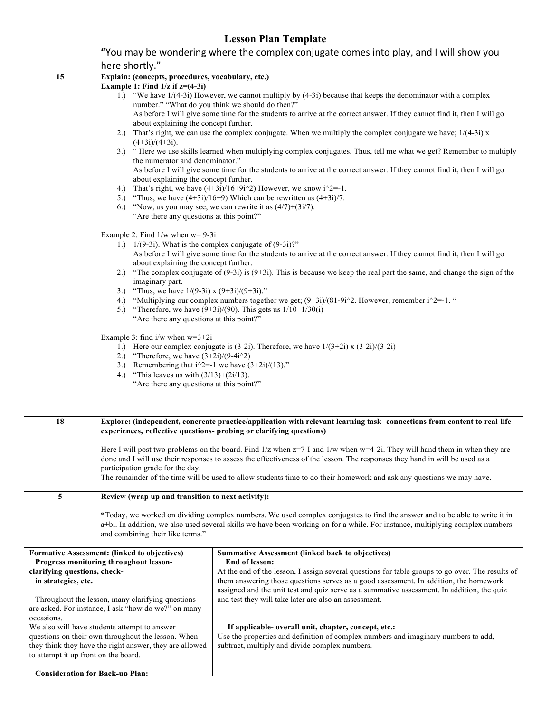|                                                                                                                                                                                                                                                                                                                                                                                                                                                                                 |                                                                                                                                                                                                                                                                                                                                                                                                                                                                                                                                                                                                                                                                                                                                                                                                                                                                                                                                                                                                                                                                                                                                   | Есяти і вин і спірійк                                                                                                                                                                                                                                                                                                                                                                                                                                                                                                                                                                                                         |  |  |
|---------------------------------------------------------------------------------------------------------------------------------------------------------------------------------------------------------------------------------------------------------------------------------------------------------------------------------------------------------------------------------------------------------------------------------------------------------------------------------|-----------------------------------------------------------------------------------------------------------------------------------------------------------------------------------------------------------------------------------------------------------------------------------------------------------------------------------------------------------------------------------------------------------------------------------------------------------------------------------------------------------------------------------------------------------------------------------------------------------------------------------------------------------------------------------------------------------------------------------------------------------------------------------------------------------------------------------------------------------------------------------------------------------------------------------------------------------------------------------------------------------------------------------------------------------------------------------------------------------------------------------|-------------------------------------------------------------------------------------------------------------------------------------------------------------------------------------------------------------------------------------------------------------------------------------------------------------------------------------------------------------------------------------------------------------------------------------------------------------------------------------------------------------------------------------------------------------------------------------------------------------------------------|--|--|
|                                                                                                                                                                                                                                                                                                                                                                                                                                                                                 | "You may be wondering where the complex conjugate comes into play, and I will show you                                                                                                                                                                                                                                                                                                                                                                                                                                                                                                                                                                                                                                                                                                                                                                                                                                                                                                                                                                                                                                            |                                                                                                                                                                                                                                                                                                                                                                                                                                                                                                                                                                                                                               |  |  |
|                                                                                                                                                                                                                                                                                                                                                                                                                                                                                 | here shortly."<br>Explain: (concepts, procedures, vocabulary, etc.)                                                                                                                                                                                                                                                                                                                                                                                                                                                                                                                                                                                                                                                                                                                                                                                                                                                                                                                                                                                                                                                               |                                                                                                                                                                                                                                                                                                                                                                                                                                                                                                                                                                                                                               |  |  |
| 15                                                                                                                                                                                                                                                                                                                                                                                                                                                                              | Example 1: Find $1/z$ if $z=(4-3i)$<br>1.) "We have $1/(4-3i)$ However, we cannot multiply by $(4-3i)$ because that keeps the denominator with a complex<br>number." "What do you think we should do then?"<br>As before I will give some time for the students to arrive at the correct answer. If they cannot find it, then I will go<br>about explaining the concept further.<br>2.) That's right, we can use the complex conjugate. When we multiply the complex conjugate we have; $1/(4-3i)$ x<br>$(4+3i)/(4+3i)$ .<br>3.) "Here we use skills learned when multiplying complex conjugates. Thus, tell me what we get? Remember to multiply<br>the numerator and denominator."<br>As before I will give some time for the students to arrive at the correct answer. If they cannot find it, then I will go<br>about explaining the concept further.<br>4.) That's right, we have $(4+3i)/16+9i^2$ However, we know $i^2=1$ .<br>5.) "Thus, we have $(4+3i)/16+9$ ) Which can be rewritten as $(4+3i)/7$ .<br>"Now, as you may see, we can rewrite it as $(4/7)+(3i/7)$ .<br>6.)<br>"Are there any questions at this point?" |                                                                                                                                                                                                                                                                                                                                                                                                                                                                                                                                                                                                                               |  |  |
|                                                                                                                                                                                                                                                                                                                                                                                                                                                                                 | Example 2: Find $1/w$ when $w=9-3i$<br>about explaining the concept further.<br>imaginary part.<br>3.) "Thus, we have $1/(9-3i) \times (9+3i)/(9+3i)$ ."<br>"Are there any questions at this point?"<br>Example 3: find i/w when $w=3+2i$<br>2.) "Therefore, we have $(3+2i)/(9-4i^2)$<br>3.) Remembering that $i^2 = -1$ we have $(3+2i)/(13)$ ."<br>4.) "This leaves us with $(3/13)+(2i/13)$ .<br>"Are there any questions at this point?"                                                                                                                                                                                                                                                                                                                                                                                                                                                                                                                                                                                                                                                                                     | 1.) $1/(9-3i)$ . What is the complex conjugate of $(9-3i)$ ?"<br>As before I will give some time for the students to arrive at the correct answer. If they cannot find it, then I will go<br>2.) "The complex conjugate of $(9-3i)$ is $(9+3i)$ . This is because we keep the real part the same, and change the sign of the<br>4.) "Multiplying our complex numbers together we get; $(9+3i)/(81-9i^2)$ . However, remember $i^2=1$ ."<br>5.) "Therefore, we have $(9+3i)/(90)$ . This gets us $1/10+1/30(i)$<br>1.) Here our complex conjugate is $(3-2i)$ . Therefore, we have $1/(3+2i) \times (3-2i)/(3-2i)$             |  |  |
| 18                                                                                                                                                                                                                                                                                                                                                                                                                                                                              | Explore: (independent, concreate practice/application with relevant learning task -connections from content to real-life<br>experiences, reflective questions- probing or clarifying questions)                                                                                                                                                                                                                                                                                                                                                                                                                                                                                                                                                                                                                                                                                                                                                                                                                                                                                                                                   |                                                                                                                                                                                                                                                                                                                                                                                                                                                                                                                                                                                                                               |  |  |
|                                                                                                                                                                                                                                                                                                                                                                                                                                                                                 | participation grade for the day.                                                                                                                                                                                                                                                                                                                                                                                                                                                                                                                                                                                                                                                                                                                                                                                                                                                                                                                                                                                                                                                                                                  | Here I will post two problems on the board. Find $1/z$ when $z=7$ -I and $1/w$ when $w=4-2i$ . They will hand them in when they are<br>done and I will use their responses to assess the effectiveness of the lesson. The responses they hand in will be used as a<br>The remainder of the time will be used to allow students time to do their homework and ask any questions we may have.                                                                                                                                                                                                                                   |  |  |
| 5                                                                                                                                                                                                                                                                                                                                                                                                                                                                               | Review (wrap up and transition to next activity):                                                                                                                                                                                                                                                                                                                                                                                                                                                                                                                                                                                                                                                                                                                                                                                                                                                                                                                                                                                                                                                                                 |                                                                                                                                                                                                                                                                                                                                                                                                                                                                                                                                                                                                                               |  |  |
|                                                                                                                                                                                                                                                                                                                                                                                                                                                                                 | "Today, we worked on dividing complex numbers. We used complex conjugates to find the answer and to be able to write it in<br>a+bi. In addition, we also used several skills we have been working on for a while. For instance, multiplying complex numbers<br>and combining their like terms."                                                                                                                                                                                                                                                                                                                                                                                                                                                                                                                                                                                                                                                                                                                                                                                                                                   |                                                                                                                                                                                                                                                                                                                                                                                                                                                                                                                                                                                                                               |  |  |
| Formative Assessment: (linked to objectives)<br>Progress monitoring throughout lesson-<br>clarifying questions, check-<br>in strategies, etc.<br>Throughout the lesson, many clarifying questions<br>are asked. For instance, I ask "how do we?" on many<br>occasions.<br>We also will have students attempt to answer<br>questions on their own throughout the lesson. When<br>they think they have the right answer, they are allowed<br>to attempt it up front on the board. |                                                                                                                                                                                                                                                                                                                                                                                                                                                                                                                                                                                                                                                                                                                                                                                                                                                                                                                                                                                                                                                                                                                                   | <b>Summative Assessment (linked back to objectives)</b><br>End of lesson:<br>At the end of the lesson, I assign several questions for table groups to go over. The results of<br>them answering those questions serves as a good assessment. In addition, the homework<br>assigned and the unit test and quiz serve as a summative assessment. In addition, the quiz<br>and test they will take later are also an assessment.<br>If applicable- overall unit, chapter, concept, etc.:<br>Use the properties and definition of complex numbers and imaginary numbers to add,<br>subtract, multiply and divide complex numbers. |  |  |
| <b>Consideration for Back-up Plan:</b>                                                                                                                                                                                                                                                                                                                                                                                                                                          |                                                                                                                                                                                                                                                                                                                                                                                                                                                                                                                                                                                                                                                                                                                                                                                                                                                                                                                                                                                                                                                                                                                                   |                                                                                                                                                                                                                                                                                                                                                                                                                                                                                                                                                                                                                               |  |  |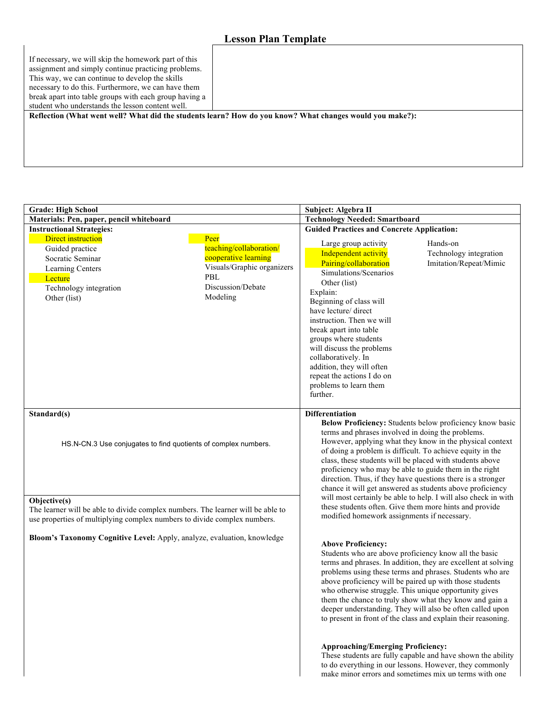ř.

| If necessary, we will skip the homework part of this<br>assignment and simply continue practicing problems.<br>This way, we can continue to develop the skills<br>necessary to do this. Furthermore, we can have them<br>break apart into table groups with each group having a |
|---------------------------------------------------------------------------------------------------------------------------------------------------------------------------------------------------------------------------------------------------------------------------------|
| student who understands the lesson content well.                                                                                                                                                                                                                                |
| Reflection (What went well? What did the students learn? How do you know? What changes would you make?):                                                                                                                                                                        |

ä

| <b>Grade: High School</b>                                                                                                                                                                                                                                    |                                                                                                                               | Subject: Algebra II                                                                                                                                                                                                                                                                                                                                                                                                                                                                                                                                                                                                                                                                                                                                                                                                                                                                                                                                                                                                                                                                                                                                                                                                           |                                                                                                                                                                                 |
|--------------------------------------------------------------------------------------------------------------------------------------------------------------------------------------------------------------------------------------------------------------|-------------------------------------------------------------------------------------------------------------------------------|-------------------------------------------------------------------------------------------------------------------------------------------------------------------------------------------------------------------------------------------------------------------------------------------------------------------------------------------------------------------------------------------------------------------------------------------------------------------------------------------------------------------------------------------------------------------------------------------------------------------------------------------------------------------------------------------------------------------------------------------------------------------------------------------------------------------------------------------------------------------------------------------------------------------------------------------------------------------------------------------------------------------------------------------------------------------------------------------------------------------------------------------------------------------------------------------------------------------------------|---------------------------------------------------------------------------------------------------------------------------------------------------------------------------------|
| Materials: Pen, paper, pencil whiteboard                                                                                                                                                                                                                     |                                                                                                                               | <b>Technology Needed: Smartboard</b>                                                                                                                                                                                                                                                                                                                                                                                                                                                                                                                                                                                                                                                                                                                                                                                                                                                                                                                                                                                                                                                                                                                                                                                          |                                                                                                                                                                                 |
| <b>Instructional Strategies:</b>                                                                                                                                                                                                                             |                                                                                                                               | <b>Guided Practices and Concrete Application:</b>                                                                                                                                                                                                                                                                                                                                                                                                                                                                                                                                                                                                                                                                                                                                                                                                                                                                                                                                                                                                                                                                                                                                                                             |                                                                                                                                                                                 |
| Direct instruction<br>Guided practice<br>Socratic Seminar<br>Learning Centers<br>Lecture<br>Technology integration<br>Other (list)                                                                                                                           | Peer<br>teaching/collaboration/<br>cooperative learning<br>Visuals/Graphic organizers<br>PBL<br>Discussion/Debate<br>Modeling | Large group activity<br>Independent activity<br>Pairing/collaboration<br>Simulations/Scenarios<br>Other (list)<br>Explain:<br>Beginning of class will<br>have lecture/ direct<br>instruction. Then we will<br>break apart into table<br>groups where students<br>will discuss the problems<br>collaboratively. In<br>addition, they will often<br>repeat the actions I do on<br>problems to learn them<br>further.                                                                                                                                                                                                                                                                                                                                                                                                                                                                                                                                                                                                                                                                                                                                                                                                            | Hands-on<br>Technology integration<br>Imitation/Repeat/Mimic                                                                                                                    |
| Standard(s)<br>HS.N-CN.3 Use conjugates to find quotients of complex numbers.<br>Objective(s)<br>The learner will be able to divide complex numbers. The learner will be able to<br>use properties of multiplying complex numbers to divide complex numbers. |                                                                                                                               | <b>Differentiation</b><br>Below Proficiency: Students below proficiency know basic<br>terms and phrases involved in doing the problems.<br>However, applying what they know in the physical context<br>of doing a problem is difficult. To achieve equity in the<br>class, these students will be placed with students above<br>proficiency who may be able to guide them in the right<br>direction. Thus, if they have questions there is a stronger<br>chance it will get answered as students above proficiency<br>will most certainly be able to help. I will also check in with<br>these students often. Give them more hints and provide<br>modified homework assignments if necessary.<br><b>Above Proficiency:</b><br>Students who are above proficiency know all the basic<br>terms and phrases. In addition, they are excellent at solving<br>problems using these terms and phrases. Students who are<br>above proficiency will be paired up with those students<br>who otherwise struggle. This unique opportunity gives<br>them the chance to truly show what they know and gain a<br>deeper understanding. They will also be often called upon<br>to present in front of the class and explain their reasoning. |                                                                                                                                                                                 |
| Bloom's Taxonomy Cognitive Level: Apply, analyze, evaluation, knowledge                                                                                                                                                                                      |                                                                                                                               |                                                                                                                                                                                                                                                                                                                                                                                                                                                                                                                                                                                                                                                                                                                                                                                                                                                                                                                                                                                                                                                                                                                                                                                                                               |                                                                                                                                                                                 |
|                                                                                                                                                                                                                                                              |                                                                                                                               | <b>Approaching/Emerging Proficiency:</b>                                                                                                                                                                                                                                                                                                                                                                                                                                                                                                                                                                                                                                                                                                                                                                                                                                                                                                                                                                                                                                                                                                                                                                                      | These students are fully capable and have shown the ability<br>to do everything in our lessons. However, they commonly<br>make minor errors and sometimes mix un terms with one |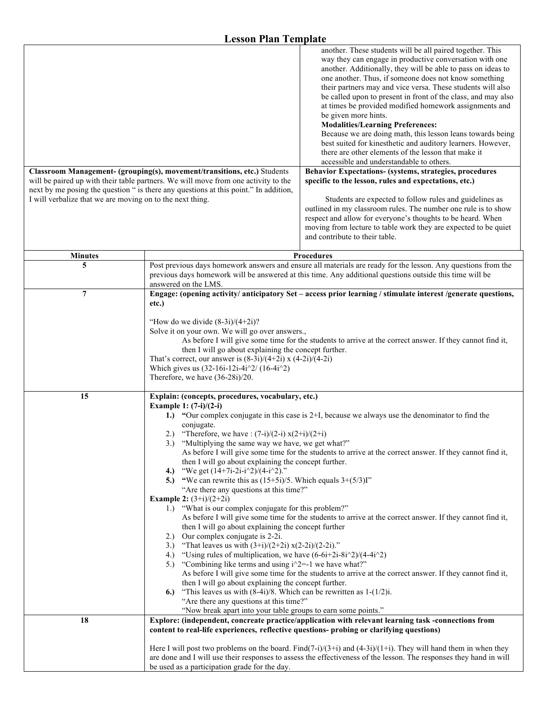| I will verbalize that we are moving on to the next thing. | another. These students will be all paired together. This<br>way they can engage in productive conversation with one<br>another. Additionally, they will be able to pass on ideas to<br>one another. Thus, if someone does not know something<br>their partners may and vice versa. These students will also<br>be called upon to present in front of the class, and may also<br>at times be provided modified homework assignments and<br>be given more hints.<br><b>Modalities/Learning Preferences:</b><br>Because we are doing math, this lesson leans towards being<br>best suited for kinesthetic and auditory learners. However,<br>there are other elements of the lesson that make it<br>accessible and understandable to others.<br>Classroom Management- (grouping(s), movement/transitions, etc.) Students<br>Behavior Expectations- (systems, strategies, procedures<br>will be paired up with their table partners. We will move from one activity to the<br>specific to the lesson, rules and expectations, etc.)<br>next by me posing the question " is there any questions at this point." In addition,<br>Students are expected to follow rules and guidelines as<br>outlined in my classroom rules. The number one rule is to show<br>respect and allow for everyone's thoughts to be heard. When<br>moving from lecture to table work they are expected to be quiet<br>and contribute to their table.                                                                    |  |
|-----------------------------------------------------------|----------------------------------------------------------------------------------------------------------------------------------------------------------------------------------------------------------------------------------------------------------------------------------------------------------------------------------------------------------------------------------------------------------------------------------------------------------------------------------------------------------------------------------------------------------------------------------------------------------------------------------------------------------------------------------------------------------------------------------------------------------------------------------------------------------------------------------------------------------------------------------------------------------------------------------------------------------------------------------------------------------------------------------------------------------------------------------------------------------------------------------------------------------------------------------------------------------------------------------------------------------------------------------------------------------------------------------------------------------------------------------------------------------------------------------------------------------------------------------------------|--|
| <b>Minutes</b>                                            | <b>Procedures</b>                                                                                                                                                                                                                                                                                                                                                                                                                                                                                                                                                                                                                                                                                                                                                                                                                                                                                                                                                                                                                                                                                                                                                                                                                                                                                                                                                                                                                                                                            |  |
| 5                                                         | Post previous days homework answers and ensure all materials are ready for the lesson. Any questions from the<br>previous days homework will be answered at this time. Any additional questions outside this time will be<br>answered on the LMS.                                                                                                                                                                                                                                                                                                                                                                                                                                                                                                                                                                                                                                                                                                                                                                                                                                                                                                                                                                                                                                                                                                                                                                                                                                            |  |
| $\overline{7}$                                            | Engage: (opening activity/ anticipatory Set - access prior learning / stimulate interest /generate questions,<br>etc.)<br>"How do we divide $(8-3i)/(4+2i)$ ?<br>Solve it on your own. We will go over answers.,<br>As before I will give some time for the students to arrive at the correct answer. If they cannot find it,<br>then I will go about explaining the concept further.<br>That's correct, our answer is $(8-3i)/(4+2i)$ x $(4-2i)/(4-2i)$<br>Which gives us $(32-16i-12i-4i^2/(16-4i^2))$<br>Therefore, we have (36-28i)/20.                                                                                                                                                                                                                                                                                                                                                                                                                                                                                                                                                                                                                                                                                                                                                                                                                                                                                                                                                  |  |
| 15                                                        | Explain: (concepts, procedures, vocabulary, etc.)<br>Example 1: $(7-i)/(2-i)$<br>1.) "Our complex conjugate in this case is 2+I, because we always use the denominator to find the<br>conjugate.<br>"Therefore, we have: $(7-i)/(2-i)$ x $(2+i)/(2+i)$<br>2.)<br>"Multiplying the same way we have, we get what?"<br>3.<br>As before I will give some time for the students to arrive at the correct answer. If they cannot find it,<br>then I will go about explaining the concept further.<br>"We get $(14+7i-2i-i^2)/(4-i^2)$ ."<br>4.)<br>5.) "We can rewrite this as $(15+5i)/5$ . Which equals $3+(5/3)I$ "<br>"Are there any questions at this time?"<br><b>Example 2:</b> $(3+i)/(2+2i)$<br>"What is our complex conjugate for this problem?"<br>1.<br>As before I will give some time for the students to arrive at the correct answer. If they cannot find it,<br>then I will go about explaining the concept further<br>Our complex conjugate is 2-2i.<br>2.)<br>"That leaves us with $(3+i)/(2+2i)$ x $(2-2i)/(2-2i)$ ."<br>3.)<br>"Using rules of multiplication, we have $(6-6i+2i-8i^2)/(4-4i^2)$<br>4.)<br>"Combining like terms and using $i^2$ -1 we have what?"<br>5.)<br>As before I will give some time for the students to arrive at the correct answer. If they cannot find it,<br>then I will go about explaining the concept further.<br>"This leaves us with $(8-4i)/8$ . Which can be rewritten as $1-(1/2)i$ .<br>6.)<br>"Are there any questions at this time?" |  |
| 18                                                        | "Now break apart into your table groups to earn some points."<br>Explore: (independent, concreate practice/application with relevant learning task -connections from<br>content to real-life experiences, reflective questions- probing or clarifying questions)<br>Here I will post two problems on the board. Find(7-i)/(3+i) and (4-3i)/(1+i). They will hand them in when they<br>are done and I will use their responses to assess the effectiveness of the lesson. The responses they hand in will<br>be used as a participation grade for the day.                                                                                                                                                                                                                                                                                                                                                                                                                                                                                                                                                                                                                                                                                                                                                                                                                                                                                                                                    |  |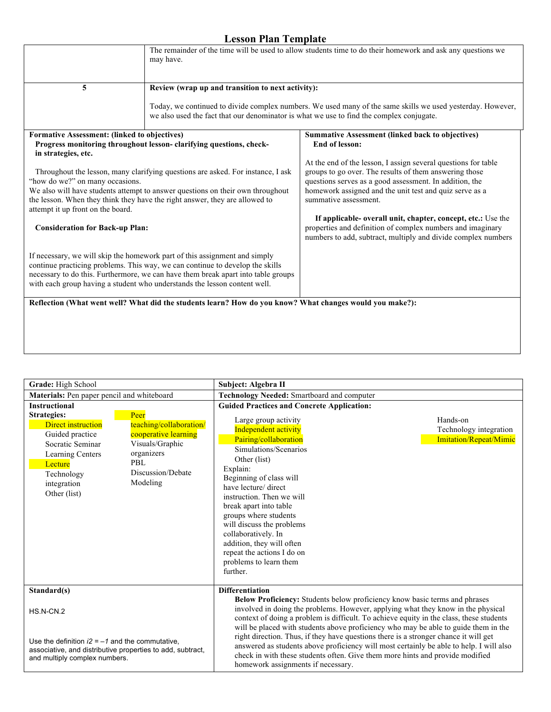|                                                                                                                                                                                              | The remainder of the time will be used to allow students time to do their homework and ask any questions we<br>may have.                                                                                                                                                                                                                                                                                                                                                                                                                                                                                                                                |                                                                                                                                                                                                                                                                                                                                                                                                                                                                                                                                                            |  |
|----------------------------------------------------------------------------------------------------------------------------------------------------------------------------------------------|---------------------------------------------------------------------------------------------------------------------------------------------------------------------------------------------------------------------------------------------------------------------------------------------------------------------------------------------------------------------------------------------------------------------------------------------------------------------------------------------------------------------------------------------------------------------------------------------------------------------------------------------------------|------------------------------------------------------------------------------------------------------------------------------------------------------------------------------------------------------------------------------------------------------------------------------------------------------------------------------------------------------------------------------------------------------------------------------------------------------------------------------------------------------------------------------------------------------------|--|
| 5                                                                                                                                                                                            | Review (wrap up and transition to next activity):<br>we also used the fact that our denominator is what we use to find the complex conjugate.                                                                                                                                                                                                                                                                                                                                                                                                                                                                                                           | Today, we continued to divide complex numbers. We used many of the same skills we used yesterday. However,                                                                                                                                                                                                                                                                                                                                                                                                                                                 |  |
| <b>Formative Assessment: (linked to objectives)</b><br>in strategies, etc.<br>"how do we?" on many occasions.<br>attempt it up front on the board.<br><b>Consideration for Back-up Plan:</b> | Progress monitoring throughout lesson-clarifying questions, check-<br>Throughout the lesson, many clarifying questions are asked. For instance, I ask<br>We also will have students attempt to answer questions on their own throughout<br>the lesson. When they think they have the right answer, they are allowed to<br>If necessary, we will skip the homework part of this assignment and simply<br>continue practicing problems. This way, we can continue to develop the skills<br>necessary to do this. Furthermore, we can have them break apart into table groups<br>with each group having a student who understands the lesson content well. | <b>Summative Assessment (linked back to objectives)</b><br><b>End of lesson:</b><br>At the end of the lesson, I assign several questions for table<br>groups to go over. The results of them answering those<br>questions serves as a good assessment. In addition, the<br>homework assigned and the unit test and quiz serve as a<br>summative assessment.<br>If applicable- overall unit, chapter, concept, etc.: Use the<br>properties and definition of complex numbers and imaginary<br>numbers to add, subtract, multiply and divide complex numbers |  |
|                                                                                                                                                                                              | Reflection (What went well? What did the students learn? How do you know? What changes would you make?):                                                                                                                                                                                                                                                                                                                                                                                                                                                                                                                                                |                                                                                                                                                                                                                                                                                                                                                                                                                                                                                                                                                            |  |

| Grade: High School                                                                                                                                                 |                                                                                                                                  | Subject: Algebra II                                                                                                                                                                                                                                                                                                                                                                                                       |                                                              |
|--------------------------------------------------------------------------------------------------------------------------------------------------------------------|----------------------------------------------------------------------------------------------------------------------------------|---------------------------------------------------------------------------------------------------------------------------------------------------------------------------------------------------------------------------------------------------------------------------------------------------------------------------------------------------------------------------------------------------------------------------|--------------------------------------------------------------|
| Materials: Pen paper pencil and whiteboard                                                                                                                         |                                                                                                                                  | Technology Needed: Smartboard and computer                                                                                                                                                                                                                                                                                                                                                                                |                                                              |
| <b>Instructional</b>                                                                                                                                               |                                                                                                                                  | <b>Guided Practices and Concrete Application:</b>                                                                                                                                                                                                                                                                                                                                                                         |                                                              |
| <b>Strategies:</b><br><b>Direct instruction</b><br>Guided practice<br>Socratic Seminar<br>Learning Centers<br>Lecture<br>Technology<br>integration<br>Other (list) | Peer<br>teaching/collaboration/<br>cooperative learning<br>Visuals/Graphic<br>organizers<br>PBL<br>Discussion/Debate<br>Modeling | Large group activity<br><b>Independent activity</b><br>Pairing/collaboration<br>Simulations/Scenarios<br>Other (list)<br>Explain:<br>Beginning of class will<br>have lecture/ direct<br>instruction. Then we will<br>break apart into table<br>groups where students<br>will discuss the problems<br>collaboratively. In<br>addition, they will often<br>repeat the actions I do on<br>problems to learn them<br>further. | Hands-on<br>Technology integration<br>Imitation/Repeat/Mimic |
| Standard(s)                                                                                                                                                        |                                                                                                                                  | <b>Differentiation</b><br>Below Proficiency: Students below proficiency know basic terms and phrases                                                                                                                                                                                                                                                                                                                      |                                                              |
| $HS.N-CN.2$                                                                                                                                                        |                                                                                                                                  | involved in doing the problems. However, applying what they know in the physical<br>context of doing a problem is difficult. To achieve equity in the class, these students<br>will be placed with students above proficiency who may be able to guide them in the<br>right direction. Thus, if they have questions there is a stronger chance it will get                                                                |                                                              |
| Use the definition $i2 = -1$ and the commutative.<br>associative, and distributive properties to add, subtract,<br>and multiply complex numbers.                   |                                                                                                                                  | answered as students above proficiency will most certainly be able to help. I will also<br>check in with these students often. Give them more hints and provide modified<br>homework assignments if necessary.                                                                                                                                                                                                            |                                                              |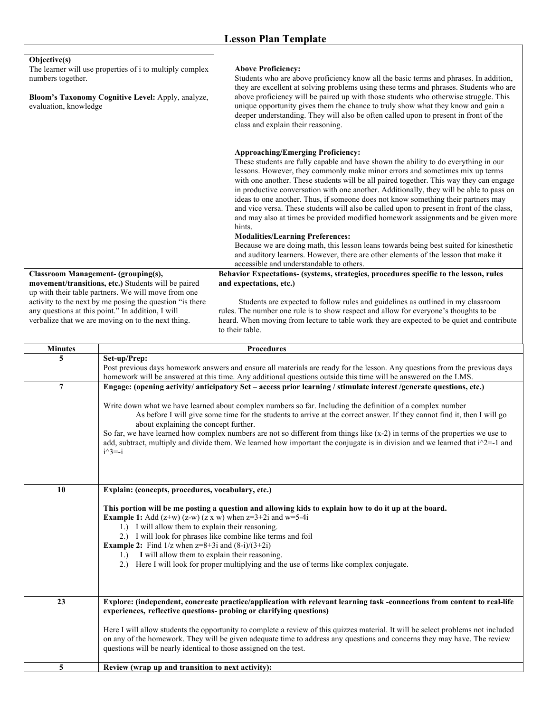|                                                                                                                                                                             |                                                                                                                                                                                                                                                                                                                                                                                                                                                                                                                                                                                                                                                                                         | <b>Lesson Plan Template</b>                                                                                                                                                                                                                                                                                                                                                                                                                                                                                                                                                                                                                                                                                                                                                                                                                                                                                                                                                                                                                                                                                                                                                                                                                                                                                                                                                     |
|-----------------------------------------------------------------------------------------------------------------------------------------------------------------------------|-----------------------------------------------------------------------------------------------------------------------------------------------------------------------------------------------------------------------------------------------------------------------------------------------------------------------------------------------------------------------------------------------------------------------------------------------------------------------------------------------------------------------------------------------------------------------------------------------------------------------------------------------------------------------------------------|---------------------------------------------------------------------------------------------------------------------------------------------------------------------------------------------------------------------------------------------------------------------------------------------------------------------------------------------------------------------------------------------------------------------------------------------------------------------------------------------------------------------------------------------------------------------------------------------------------------------------------------------------------------------------------------------------------------------------------------------------------------------------------------------------------------------------------------------------------------------------------------------------------------------------------------------------------------------------------------------------------------------------------------------------------------------------------------------------------------------------------------------------------------------------------------------------------------------------------------------------------------------------------------------------------------------------------------------------------------------------------|
| Objective(s)<br>The learner will use properties of i to multiply complex<br>numbers together.<br>Bloom's Taxonomy Cognitive Level: Apply, analyze,<br>evaluation, knowledge |                                                                                                                                                                                                                                                                                                                                                                                                                                                                                                                                                                                                                                                                                         | <b>Above Proficiency:</b><br>Students who are above proficiency know all the basic terms and phrases. In addition,<br>they are excellent at solving problems using these terms and phrases. Students who are<br>above proficiency will be paired up with those students who otherwise struggle. This<br>unique opportunity gives them the chance to truly show what they know and gain a<br>deeper understanding. They will also be often called upon to present in front of the<br>class and explain their reasoning.                                                                                                                                                                                                                                                                                                                                                                                                                                                                                                                                                                                                                                                                                                                                                                                                                                                          |
|                                                                                                                                                                             | <b>Classroom Management- (grouping(s),</b><br>movement/transitions, etc.) Students will be paired<br>up with their table partners. We will move from one<br>activity to the next by me posing the question "is there<br>any questions at this point." In addition, I will<br>verbalize that we are moving on to the next thing.                                                                                                                                                                                                                                                                                                                                                         | <b>Approaching/Emerging Proficiency:</b><br>These students are fully capable and have shown the ability to do everything in our<br>lessons. However, they commonly make minor errors and sometimes mix up terms<br>with one another. These students will be all paired together. This way they can engage<br>in productive conversation with one another. Additionally, they will be able to pass on<br>ideas to one another. Thus, if someone does not know something their partners may<br>and vice versa. These students will also be called upon to present in front of the class,<br>and may also at times be provided modified homework assignments and be given more<br>hints.<br><b>Modalities/Learning Preferences:</b><br>Because we are doing math, this lesson leans towards being best suited for kinesthetic<br>and auditory learners. However, there are other elements of the lesson that make it<br>accessible and understandable to others.<br>Behavior Expectations- (systems, strategies, procedures specific to the lesson, rules<br>and expectations, etc.)<br>Students are expected to follow rules and guidelines as outlined in my classroom<br>rules. The number one rule is to show respect and allow for everyone's thoughts to be<br>heard. When moving from lecture to table work they are expected to be quiet and contribute<br>to their table. |
|                                                                                                                                                                             |                                                                                                                                                                                                                                                                                                                                                                                                                                                                                                                                                                                                                                                                                         |                                                                                                                                                                                                                                                                                                                                                                                                                                                                                                                                                                                                                                                                                                                                                                                                                                                                                                                                                                                                                                                                                                                                                                                                                                                                                                                                                                                 |
| <b>Minutes</b><br>5                                                                                                                                                         | Set-up/Prep:                                                                                                                                                                                                                                                                                                                                                                                                                                                                                                                                                                                                                                                                            | <b>Procedures</b>                                                                                                                                                                                                                                                                                                                                                                                                                                                                                                                                                                                                                                                                                                                                                                                                                                                                                                                                                                                                                                                                                                                                                                                                                                                                                                                                                               |
|                                                                                                                                                                             |                                                                                                                                                                                                                                                                                                                                                                                                                                                                                                                                                                                                                                                                                         | Post previous days homework answers and ensure all materials are ready for the lesson. Any questions from the previous days<br>homework will be answered at this time. Any additional questions outside this time will be answered on the LMS.                                                                                                                                                                                                                                                                                                                                                                                                                                                                                                                                                                                                                                                                                                                                                                                                                                                                                                                                                                                                                                                                                                                                  |
| $\overline{7}$                                                                                                                                                              | Engage: (opening activity/ anticipatory Set - access prior learning / stimulate interest /generate questions, etc.)<br>Write down what we have learned about complex numbers so far. Including the definition of a complex number<br>As before I will give some time for the students to arrive at the correct answer. If they cannot find it, then I will go<br>about explaining the concept further.<br>So far, we have learned how complex numbers are not so different from things like $(x-2)$ in terms of the properties we use to<br>add, subtract, multiply and divide them. We learned how important the conjugate is in division and we learned that $i^2=1$ and<br>$i^3$ =-i |                                                                                                                                                                                                                                                                                                                                                                                                                                                                                                                                                                                                                                                                                                                                                                                                                                                                                                                                                                                                                                                                                                                                                                                                                                                                                                                                                                                 |
| 10                                                                                                                                                                          | Explain: (concepts, procedures, vocabulary, etc.)                                                                                                                                                                                                                                                                                                                                                                                                                                                                                                                                                                                                                                       |                                                                                                                                                                                                                                                                                                                                                                                                                                                                                                                                                                                                                                                                                                                                                                                                                                                                                                                                                                                                                                                                                                                                                                                                                                                                                                                                                                                 |
|                                                                                                                                                                             | This portion will be me posting a question and allowing kids to explain how to do it up at the board.<br><b>Example 1:</b> Add $(z+w)$ $(z-w)$ $(z \times w)$ when $z=3+2i$ and $w=5-4i$<br>1.) I will allow them to explain their reasoning.<br>2.) I will look for phrases like combine like terms and foil<br><b>Example 2:</b> Find $1/z$ when $z=8+3i$ and $(8-i)/(3+2i)$<br>I will allow them to explain their reasoning.<br>1.<br>Here I will look for proper multiplying and the use of terms like complex conjugate.<br>2.)                                                                                                                                                    |                                                                                                                                                                                                                                                                                                                                                                                                                                                                                                                                                                                                                                                                                                                                                                                                                                                                                                                                                                                                                                                                                                                                                                                                                                                                                                                                                                                 |
| 23                                                                                                                                                                          |                                                                                                                                                                                                                                                                                                                                                                                                                                                                                                                                                                                                                                                                                         | Explore: (independent, concreate practice/application with relevant learning task -connections from content to real-life                                                                                                                                                                                                                                                                                                                                                                                                                                                                                                                                                                                                                                                                                                                                                                                                                                                                                                                                                                                                                                                                                                                                                                                                                                                        |
|                                                                                                                                                                             | experiences, reflective questions- probing or clarifying questions)<br>Here I will allow students the opportunity to complete a review of this quizzes material. It will be select problems not included<br>on any of the homework. They will be given adequate time to address any questions and concerns they may have. The review<br>questions will be nearly identical to those assigned on the test.                                                                                                                                                                                                                                                                               |                                                                                                                                                                                                                                                                                                                                                                                                                                                                                                                                                                                                                                                                                                                                                                                                                                                                                                                                                                                                                                                                                                                                                                                                                                                                                                                                                                                 |
| 5                                                                                                                                                                           | Review (wrap up and transition to next activity):                                                                                                                                                                                                                                                                                                                                                                                                                                                                                                                                                                                                                                       |                                                                                                                                                                                                                                                                                                                                                                                                                                                                                                                                                                                                                                                                                                                                                                                                                                                                                                                                                                                                                                                                                                                                                                                                                                                                                                                                                                                 |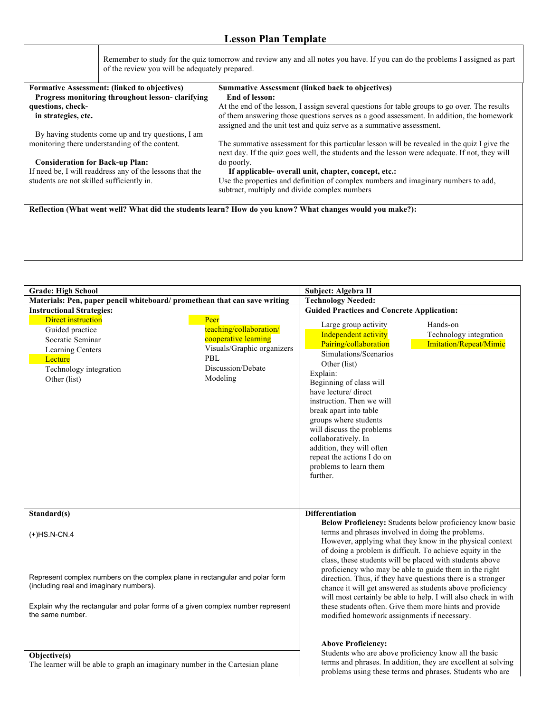| of the review you will be adequately prepared.           | Remember to study for the quiz tomorrow and review any and all notes you have. If you can do the problems I assigned as part                                                                 |
|----------------------------------------------------------|----------------------------------------------------------------------------------------------------------------------------------------------------------------------------------------------|
| <b>Formative Assessment: (linked to objectives)</b>      | <b>Summative Assessment (linked back to objectives)</b>                                                                                                                                      |
| Progress monitoring throughout lesson-clarifying         | End of lesson:                                                                                                                                                                               |
| questions, check-                                        | At the end of the lesson, I assign several questions for table groups to go over. The results                                                                                                |
| in strategies, etc.                                      | of them answering those questions serves as a good assessment. In addition, the homework<br>assigned and the unit test and quiz serve as a summative assessment.                             |
| By having students come up and try questions, I am       |                                                                                                                                                                                              |
| monitoring there understanding of the content.           | The summative assessment for this particular lesson will be revealed in the quiz I give the<br>next day. If the quiz goes well, the students and the lesson were adequate. If not, they will |
| <b>Consideration for Back-up Plan:</b>                   | do poorly.                                                                                                                                                                                   |
| If need be, I will readdress any of the lessons that the | If applicable- overall unit, chapter, concept, etc.:                                                                                                                                         |
| students are not skilled sufficiently in.                | Use the properties and definition of complex numbers and imaginary numbers to add,<br>subtract, multiply and divide complex numbers                                                          |
|                                                          | Reflection (What went well? What did the students learn? How do you know? What changes would you make?):                                                                                     |
|                                                          |                                                                                                                                                                                              |
|                                                          |                                                                                                                                                                                              |

| <b>Grade: High School</b>                                                                                                                                                                                                     |                                                                                                                               | Subject: Algebra II                                                                                                                                                                                                                                                                                                                                                                                                |                                                                                                                                                                                                                                                                                                                                                                                                                                                                                                                                                                 |
|-------------------------------------------------------------------------------------------------------------------------------------------------------------------------------------------------------------------------------|-------------------------------------------------------------------------------------------------------------------------------|--------------------------------------------------------------------------------------------------------------------------------------------------------------------------------------------------------------------------------------------------------------------------------------------------------------------------------------------------------------------------------------------------------------------|-----------------------------------------------------------------------------------------------------------------------------------------------------------------------------------------------------------------------------------------------------------------------------------------------------------------------------------------------------------------------------------------------------------------------------------------------------------------------------------------------------------------------------------------------------------------|
| Materials: Pen, paper pencil whiteboard/promethean that can save writing                                                                                                                                                      |                                                                                                                               | <b>Technology Needed:</b>                                                                                                                                                                                                                                                                                                                                                                                          |                                                                                                                                                                                                                                                                                                                                                                                                                                                                                                                                                                 |
| <b>Instructional Strategies:</b>                                                                                                                                                                                              |                                                                                                                               | <b>Guided Practices and Concrete Application:</b>                                                                                                                                                                                                                                                                                                                                                                  |                                                                                                                                                                                                                                                                                                                                                                                                                                                                                                                                                                 |
| <b>Direct instruction</b><br>Guided practice<br>Socratic Seminar<br>Learning Centers<br>Lecture<br>Technology integration<br>Other (list)                                                                                     | Peer<br>teaching/collaboration/<br>cooperative learning<br>Visuals/Graphic organizers<br>PBL<br>Discussion/Debate<br>Modeling | Large group activity<br>Independent activity<br>Pairing/collaboration<br>Simulations/Scenarios<br>Other (list)<br>Explain:<br>Beginning of class will<br>have lecture/ direct<br>instruction. Then we will<br>break apart into table<br>groups where students<br>will discuss the problems<br>collaboratively. In<br>addition, they will often<br>repeat the actions I do on<br>problems to learn them<br>further. | Hands-on<br>Technology integration<br>Imitation/Repeat/Mimic                                                                                                                                                                                                                                                                                                                                                                                                                                                                                                    |
| Standard(s)                                                                                                                                                                                                                   |                                                                                                                               | <b>Differentiation</b>                                                                                                                                                                                                                                                                                                                                                                                             |                                                                                                                                                                                                                                                                                                                                                                                                                                                                                                                                                                 |
| $(+)$ HS.N-CN.4<br>Represent complex numbers on the complex plane in rectangular and polar form<br>(including real and imaginary numbers).<br>Explain why the rectangular and polar forms of a given complex number represent |                                                                                                                               | terms and phrases involved in doing the problems.                                                                                                                                                                                                                                                                                                                                                                  | Below Proficiency: Students below proficiency know basic<br>However, applying what they know in the physical context<br>of doing a problem is difficult. To achieve equity in the<br>class, these students will be placed with students above<br>proficiency who may be able to guide them in the right<br>direction. Thus, if they have questions there is a stronger<br>chance it will get answered as students above proficiency<br>will most certainly be able to help. I will also check in with<br>these students often. Give them more hints and provide |
| the same number.<br>Objective(s)<br>The learner will be able to graph an imaginary number in the Cartesian plane                                                                                                              |                                                                                                                               | modified homework assignments if necessary.<br><b>Above Proficiency:</b>                                                                                                                                                                                                                                                                                                                                           | Students who are above proficiency know all the basic<br>terms and phrases. In addition, they are excellent at solving<br>problems using these terms and phrases. Students who are                                                                                                                                                                                                                                                                                                                                                                              |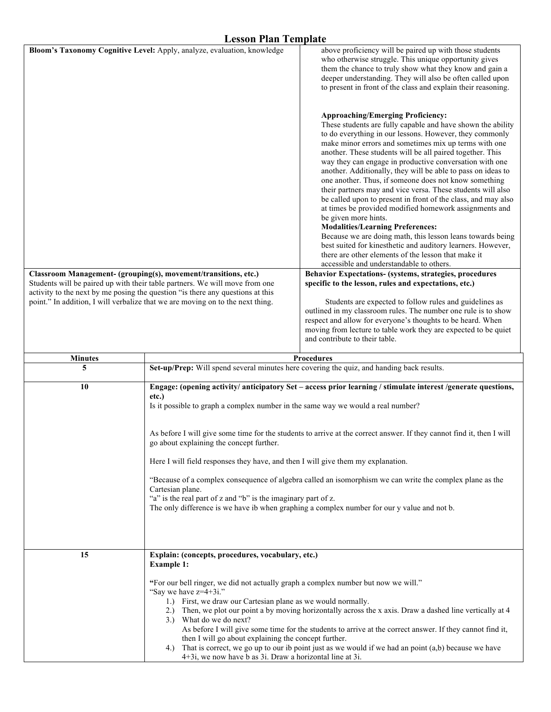|                | плээлн гиш тушрий<br>Bloom's Taxonomy Cognitive Level: Apply, analyze, evaluation, knowledge                                                                                                                                                                                                                                                                                                                                                                                                                                                                                                                                                                        | above proficiency will be paired up with those students                                                                                                                                                                                                                                                                                                                                                                                                                                                                                                                                                                                                                                                                                                                                                                                                                                                                                                                                                                              |
|----------------|---------------------------------------------------------------------------------------------------------------------------------------------------------------------------------------------------------------------------------------------------------------------------------------------------------------------------------------------------------------------------------------------------------------------------------------------------------------------------------------------------------------------------------------------------------------------------------------------------------------------------------------------------------------------|--------------------------------------------------------------------------------------------------------------------------------------------------------------------------------------------------------------------------------------------------------------------------------------------------------------------------------------------------------------------------------------------------------------------------------------------------------------------------------------------------------------------------------------------------------------------------------------------------------------------------------------------------------------------------------------------------------------------------------------------------------------------------------------------------------------------------------------------------------------------------------------------------------------------------------------------------------------------------------------------------------------------------------------|
|                |                                                                                                                                                                                                                                                                                                                                                                                                                                                                                                                                                                                                                                                                     | who otherwise struggle. This unique opportunity gives<br>them the chance to truly show what they know and gain a<br>deeper understanding. They will also be often called upon<br>to present in front of the class and explain their reasoning.                                                                                                                                                                                                                                                                                                                                                                                                                                                                                                                                                                                                                                                                                                                                                                                       |
|                | Classroom Management- (grouping(s), movement/transitions, etc.)                                                                                                                                                                                                                                                                                                                                                                                                                                                                                                                                                                                                     | <b>Approaching/Emerging Proficiency:</b><br>These students are fully capable and have shown the ability<br>to do everything in our lessons. However, they commonly<br>make minor errors and sometimes mix up terms with one<br>another. These students will be all paired together. This<br>way they can engage in productive conversation with one<br>another. Additionally, they will be able to pass on ideas to<br>one another. Thus, if someone does not know something<br>their partners may and vice versa. These students will also<br>be called upon to present in front of the class, and may also<br>at times be provided modified homework assignments and<br>be given more hints.<br><b>Modalities/Learning Preferences:</b><br>Because we are doing math, this lesson leans towards being<br>best suited for kinesthetic and auditory learners. However,<br>there are other elements of the lesson that make it<br>accessible and understandable to others.<br>Behavior Expectations- (systems, strategies, procedures |
|                | Students will be paired up with their table partners. We will move from one<br>activity to the next by me posing the question "is there any questions at this<br>point." In addition, I will verbalize that we are moving on to the next thing.                                                                                                                                                                                                                                                                                                                                                                                                                     | specific to the lesson, rules and expectations, etc.)<br>Students are expected to follow rules and guidelines as<br>outlined in my classroom rules. The number one rule is to show<br>respect and allow for everyone's thoughts to be heard. When<br>moving from lecture to table work they are expected to be quiet<br>and contribute to their table.                                                                                                                                                                                                                                                                                                                                                                                                                                                                                                                                                                                                                                                                               |
|                |                                                                                                                                                                                                                                                                                                                                                                                                                                                                                                                                                                                                                                                                     |                                                                                                                                                                                                                                                                                                                                                                                                                                                                                                                                                                                                                                                                                                                                                                                                                                                                                                                                                                                                                                      |
| <b>Minutes</b> |                                                                                                                                                                                                                                                                                                                                                                                                                                                                                                                                                                                                                                                                     | <b>Procedures</b>                                                                                                                                                                                                                                                                                                                                                                                                                                                                                                                                                                                                                                                                                                                                                                                                                                                                                                                                                                                                                    |
| 5              |                                                                                                                                                                                                                                                                                                                                                                                                                                                                                                                                                                                                                                                                     | Set-up/Prep: Will spend several minutes here covering the quiz, and handing back results.                                                                                                                                                                                                                                                                                                                                                                                                                                                                                                                                                                                                                                                                                                                                                                                                                                                                                                                                            |
| 10             | etc.)<br>Is it possible to graph a complex number in the same way we would a real number?                                                                                                                                                                                                                                                                                                                                                                                                                                                                                                                                                                           | Engage: (opening activity/ anticipatory Set – access prior learning / stimulate interest /generate questions,                                                                                                                                                                                                                                                                                                                                                                                                                                                                                                                                                                                                                                                                                                                                                                                                                                                                                                                        |
|                | go about explaining the concept further.                                                                                                                                                                                                                                                                                                                                                                                                                                                                                                                                                                                                                            | As before I will give some time for the students to arrive at the correct answer. If they cannot find it, then I will                                                                                                                                                                                                                                                                                                                                                                                                                                                                                                                                                                                                                                                                                                                                                                                                                                                                                                                |
|                | Here I will field responses they have, and then I will give them my explanation.                                                                                                                                                                                                                                                                                                                                                                                                                                                                                                                                                                                    |                                                                                                                                                                                                                                                                                                                                                                                                                                                                                                                                                                                                                                                                                                                                                                                                                                                                                                                                                                                                                                      |
|                | "Because of a complex consequence of algebra called an isomorphism we can write the complex plane as the<br>Cartesian plane.<br>"a" is the real part of z and "b" is the imaginary part of z.<br>The only difference is we have ib when graphing a complex number for our y value and not b.                                                                                                                                                                                                                                                                                                                                                                        |                                                                                                                                                                                                                                                                                                                                                                                                                                                                                                                                                                                                                                                                                                                                                                                                                                                                                                                                                                                                                                      |
|                |                                                                                                                                                                                                                                                                                                                                                                                                                                                                                                                                                                                                                                                                     |                                                                                                                                                                                                                                                                                                                                                                                                                                                                                                                                                                                                                                                                                                                                                                                                                                                                                                                                                                                                                                      |
| 15             | Explain: (concepts, procedures, vocabulary, etc.)<br><b>Example 1:</b>                                                                                                                                                                                                                                                                                                                                                                                                                                                                                                                                                                                              |                                                                                                                                                                                                                                                                                                                                                                                                                                                                                                                                                                                                                                                                                                                                                                                                                                                                                                                                                                                                                                      |
|                | "For our bell ringer, we did not actually graph a complex number but now we will."<br>"Say we have z=4+3i."<br>1.) First, we draw our Cartesian plane as we would normally.<br>2.) Then, we plot our point a by moving horizontally across the x axis. Draw a dashed line vertically at 4<br>3.) What do we do next?<br>As before I will give some time for the students to arrive at the correct answer. If they cannot find it,<br>then I will go about explaining the concept further.<br>That is correct, we go up to our ib point just as we would if we had an point (a,b) because we have<br>4.)<br>4+3i, we now have b as 3i. Draw a horizontal line at 3i. |                                                                                                                                                                                                                                                                                                                                                                                                                                                                                                                                                                                                                                                                                                                                                                                                                                                                                                                                                                                                                                      |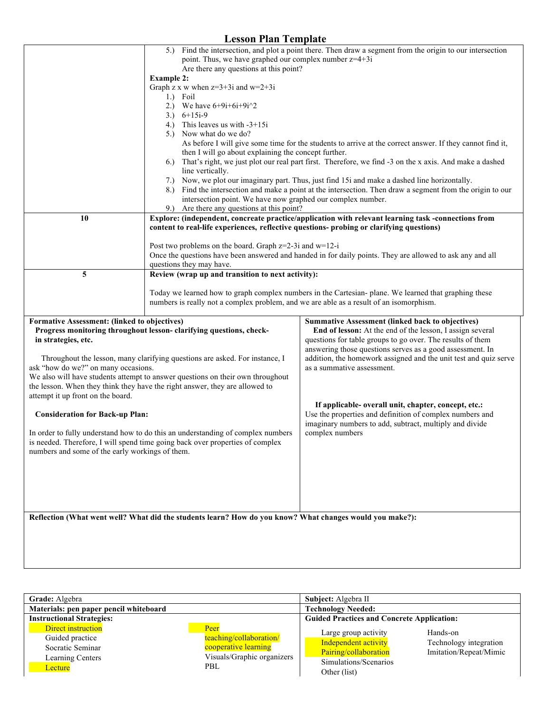| <b>Lesson Plan Template</b>                                                                                                                                                                                                                                                                                                                                                                                                                                                                                                                                                                                                                                                                                                            |                                                                                                                                                                                                                                                                                                                                                                                    |                                                                                                                                                                                                                                                                                                                                                                                                                                                                                                                                                                                                                                                                 |  |
|----------------------------------------------------------------------------------------------------------------------------------------------------------------------------------------------------------------------------------------------------------------------------------------------------------------------------------------------------------------------------------------------------------------------------------------------------------------------------------------------------------------------------------------------------------------------------------------------------------------------------------------------------------------------------------------------------------------------------------------|------------------------------------------------------------------------------------------------------------------------------------------------------------------------------------------------------------------------------------------------------------------------------------------------------------------------------------------------------------------------------------|-----------------------------------------------------------------------------------------------------------------------------------------------------------------------------------------------------------------------------------------------------------------------------------------------------------------------------------------------------------------------------------------------------------------------------------------------------------------------------------------------------------------------------------------------------------------------------------------------------------------------------------------------------------------|--|
|                                                                                                                                                                                                                                                                                                                                                                                                                                                                                                                                                                                                                                                                                                                                        | point. Thus, we have graphed our complex number z=4+3i<br>Are there any questions at this point?                                                                                                                                                                                                                                                                                   | 5.) Find the intersection, and plot a point there. Then draw a segment from the origin to our intersection                                                                                                                                                                                                                                                                                                                                                                                                                                                                                                                                                      |  |
|                                                                                                                                                                                                                                                                                                                                                                                                                                                                                                                                                                                                                                                                                                                                        | <b>Example 2:</b><br>Graph z x w when $z=3+3i$ and $w=2+3i$<br>1.) Foil<br>2.) We have $6+9i+6i+9i^2$<br>$3.)\quad 6+15i-9$<br>4.) This leaves us with $-3+15i$<br>5.) Now what do we do?<br>then I will go about explaining the concept further.<br>line vertically.<br>intersection point. We have now graphed our complex number.<br>9.) Are there any questions at this point? | As before I will give some time for the students to arrive at the correct answer. If they cannot find it,<br>6.) That's right, we just plot our real part first. Therefore, we find -3 on the x axis. And make a dashed<br>7.) Now, we plot our imaginary part. Thus, just find 15i and make a dashed line horizontally.<br>8.) Find the intersection and make a point at the intersection. Then draw a segment from the origin to our                                                                                                                                                                                                                          |  |
| 10                                                                                                                                                                                                                                                                                                                                                                                                                                                                                                                                                                                                                                                                                                                                     | content to real-life experiences, reflective questions- probing or clarifying questions)<br>Post two problems on the board. Graph z=2-3i and w=12-i<br>questions they may have.                                                                                                                                                                                                    | Explore: (independent, concreate practice/application with relevant learning task -connections from<br>Once the questions have been answered and handed in for daily points. They are allowed to ask any and all                                                                                                                                                                                                                                                                                                                                                                                                                                                |  |
| 5                                                                                                                                                                                                                                                                                                                                                                                                                                                                                                                                                                                                                                                                                                                                      | Review (wrap up and transition to next activity):<br>numbers is really not a complex problem, and we are able as a result of an isomorphism.                                                                                                                                                                                                                                       | Today we learned how to graph complex numbers in the Cartesian-plane. We learned that graphing these                                                                                                                                                                                                                                                                                                                                                                                                                                                                                                                                                            |  |
| Formative Assessment: (linked to objectives)<br>Progress monitoring throughout lesson-clarifying questions, check-<br>in strategies, etc.<br>Throughout the lesson, many clarifying questions are asked. For instance, I<br>ask "how do we?" on many occasions.<br>We also will have students attempt to answer questions on their own throughout<br>the lesson. When they think they have the right answer, they are allowed to<br>attempt it up front on the board.<br><b>Consideration for Back-up Plan:</b><br>In order to fully understand how to do this an understanding of complex numbers<br>is needed. Therefore, I will spend time going back over properties of complex<br>numbers and some of the early workings of them. |                                                                                                                                                                                                                                                                                                                                                                                    | <b>Summative Assessment (linked back to objectives)</b><br>End of lesson: At the end of the lesson, I assign several<br>questions for table groups to go over. The results of them<br>answering those questions serves as a good assessment. In<br>addition, the homework assigned and the unit test and quiz serve<br>as a summative assessment.<br>If applicable- overall unit, chapter, concept, etc.:<br>Use the properties and definition of complex numbers and<br>imaginary numbers to add, subtract, multiply and divide<br>complex numbers<br>Reflection (What went well? What did the students learn? How do you know? What changes would you make?): |  |
|                                                                                                                                                                                                                                                                                                                                                                                                                                                                                                                                                                                                                                                                                                                                        |                                                                                                                                                                                                                                                                                                                                                                                    |                                                                                                                                                                                                                                                                                                                                                                                                                                                                                                                                                                                                                                                                 |  |

| Grade: Algebra                                                                           |                                                                                              | Subject: Algebra II                                                                                            |                                                              |
|------------------------------------------------------------------------------------------|----------------------------------------------------------------------------------------------|----------------------------------------------------------------------------------------------------------------|--------------------------------------------------------------|
| Materials: pen paper pencil whiteboard                                                   |                                                                                              | <b>Technology Needed:</b>                                                                                      |                                                              |
| <b>Instructional Strategies:</b>                                                         |                                                                                              | <b>Guided Practices and Concrete Application:</b>                                                              |                                                              |
| Direct instruction<br>Guided practice<br>Socratic Seminar<br>Learning Centers<br>Lecture | Peer<br>teaching/collaboration/<br>cooperative learning<br>Visuals/Graphic organizers<br>PBL | Large group activity<br>Independent activity<br>Pairing/collaboration<br>Simulations/Scenarios<br>Other (list) | Hands-on<br>Technology integration<br>Imitation/Repeat/Mimic |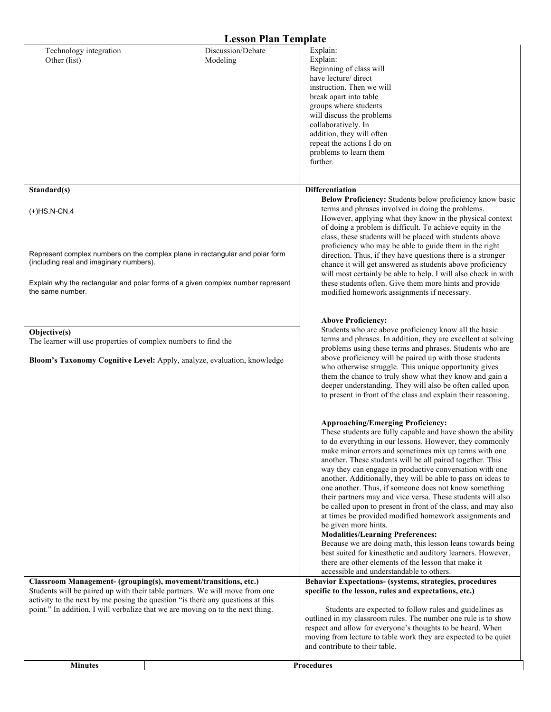| Technology integration<br>Other (list)                                                        | Discussion/Debate<br>Modeling                                                                                                                                                                                                                   | Explain:<br>Explain:<br>Beginning of class will<br>have lecture/ direct<br>instruction. Then we will<br>break apart into table<br>groups where students<br>will discuss the problems<br>collaboratively. In<br>addition, they will often<br>repeat the actions I do on<br>problems to learn them<br>further.                                                                                                                                                                                                                                                                                                                                                                                                                                                                                                                                                                                                                                                              |
|-----------------------------------------------------------------------------------------------|-------------------------------------------------------------------------------------------------------------------------------------------------------------------------------------------------------------------------------------------------|---------------------------------------------------------------------------------------------------------------------------------------------------------------------------------------------------------------------------------------------------------------------------------------------------------------------------------------------------------------------------------------------------------------------------------------------------------------------------------------------------------------------------------------------------------------------------------------------------------------------------------------------------------------------------------------------------------------------------------------------------------------------------------------------------------------------------------------------------------------------------------------------------------------------------------------------------------------------------|
| Standard(s)<br>$(+)$ HS.N-CN.4<br>(including real and imaginary numbers).<br>the same number. | Represent complex numbers on the complex plane in rectangular and polar form<br>Explain why the rectangular and polar forms of a given complex number represent                                                                                 | <b>Differentiation</b><br>Below Proficiency: Students below proficiency know basic<br>terms and phrases involved in doing the problems.<br>However, applying what they know in the physical context<br>of doing a problem is difficult. To achieve equity in the<br>class, these students will be placed with students above<br>proficiency who may be able to guide them in the right<br>direction. Thus, if they have questions there is a stronger<br>chance it will get answered as students above proficiency<br>will most certainly be able to help. I will also check in with<br>these students often. Give them more hints and provide<br>modified homework assignments if necessary.                                                                                                                                                                                                                                                                             |
| Objective(s)<br>The learner will use properties of complex numbers to find the                | Bloom's Taxonomy Cognitive Level: Apply, analyze, evaluation, knowledge                                                                                                                                                                         | <b>Above Proficiency:</b><br>Students who are above proficiency know all the basic<br>terms and phrases. In addition, they are excellent at solving<br>problems using these terms and phrases. Students who are<br>above proficiency will be paired up with those students<br>who otherwise struggle. This unique opportunity gives<br>them the chance to truly show what they know and gain a<br>deeper understanding. They will also be often called upon<br>to present in front of the class and explain their reasoning.                                                                                                                                                                                                                                                                                                                                                                                                                                              |
|                                                                                               |                                                                                                                                                                                                                                                 | <b>Approaching/Emerging Proficiency:</b><br>These students are fully capable and have shown the ability<br>to do everything in our lessons. However, they commonly<br>make minor errors and sometimes mix up terms with one<br>another. These students will be all paired together. This<br>way they can engage in productive conversation with one<br>another. Additionally, they will be able to pass on ideas to<br>one another. Thus, if someone does not know something<br>their partners may and vice versa. These students will also<br>be called upon to present in front of the class, and may also<br>at times be provided modified homework assignments and<br>be given more hints.<br><b>Modalities/Learning Preferences:</b><br>Because we are doing math, this lesson leans towards being<br>best suited for kinesthetic and auditory learners. However,<br>there are other elements of the lesson that make it<br>accessible and understandable to others. |
| Classroom Management- (grouping(s), movement/transitions, etc.)                               | Students will be paired up with their table partners. We will move from one<br>activity to the next by me posing the question "is there any questions at this<br>point." In addition, I will verbalize that we are moving on to the next thing. | Behavior Expectations- (systems, strategies, procedures<br>specific to the lesson, rules and expectations, etc.)<br>Students are expected to follow rules and guidelines as<br>outlined in my classroom rules. The number one rule is to show<br>respect and allow for everyone's thoughts to be heard. When<br>moving from lecture to table work they are expected to be quiet<br>and contribute to their table.                                                                                                                                                                                                                                                                                                                                                                                                                                                                                                                                                         |
| <b>Minutes</b>                                                                                |                                                                                                                                                                                                                                                 | <b>Procedures</b>                                                                                                                                                                                                                                                                                                                                                                                                                                                                                                                                                                                                                                                                                                                                                                                                                                                                                                                                                         |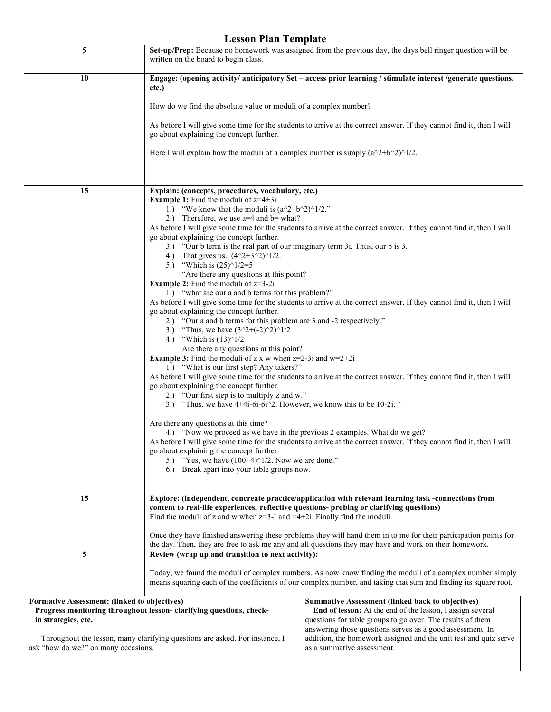| 5                                                                                                                                         | Set-up/Prep: Because no homework was assigned from the previous day, the days bell ringer question will be<br>written on the board to begin class.                                                                                                                                                                                                                                         |                                                                                                                                                                                                                                                 |
|-------------------------------------------------------------------------------------------------------------------------------------------|--------------------------------------------------------------------------------------------------------------------------------------------------------------------------------------------------------------------------------------------------------------------------------------------------------------------------------------------------------------------------------------------|-------------------------------------------------------------------------------------------------------------------------------------------------------------------------------------------------------------------------------------------------|
| 10                                                                                                                                        | Engage: (opening activity/ anticipatory Set – access prior learning / stimulate interest /generate questions,<br>etc.)                                                                                                                                                                                                                                                                     |                                                                                                                                                                                                                                                 |
|                                                                                                                                           | How do we find the absolute value or moduli of a complex number?                                                                                                                                                                                                                                                                                                                           |                                                                                                                                                                                                                                                 |
|                                                                                                                                           | go about explaining the concept further.                                                                                                                                                                                                                                                                                                                                                   | As before I will give some time for the students to arrive at the correct answer. If they cannot find it, then I will                                                                                                                           |
|                                                                                                                                           | Here I will explain how the moduli of a complex number is simply $(a^2 + b^2)^1/2$ .                                                                                                                                                                                                                                                                                                       |                                                                                                                                                                                                                                                 |
|                                                                                                                                           |                                                                                                                                                                                                                                                                                                                                                                                            |                                                                                                                                                                                                                                                 |
| 15                                                                                                                                        | Explain: (concepts, procedures, vocabulary, etc.)<br><b>Example 1:</b> Find the moduli of $z=4+3i$<br>1.) "We know that the moduli is $(a^2+b^2)^1/2$ ."<br>2.) Therefore, we use $a=4$ and $b=$ what?<br>As before I will give some time for the students to arrive at the correct answer. If they cannot find it, then I will<br>go about explaining the concept further.                |                                                                                                                                                                                                                                                 |
|                                                                                                                                           | 3.) "Our b term is the real part of our imaginary term 3i. Thus, our b is 3.<br>4.) That gives us $(4^2+3^2)^1/2$ .<br>5.) "Which is $(25)^{1/2=5}$                                                                                                                                                                                                                                        |                                                                                                                                                                                                                                                 |
|                                                                                                                                           | "Are there any questions at this point?<br><b>Example 2:</b> Find the moduli of $z=3-2i$<br>1.) "what are our a and b terms for this problem?"<br>As before I will give some time for the students to arrive at the correct answer. If they cannot find it, then I will<br>go about explaining the concept further.<br>2.) "Our a and b terms for this problem are 3 and -2 respectively." |                                                                                                                                                                                                                                                 |
|                                                                                                                                           | 3.) "Thus, we have $(3^2+(-2)^2)^{1/2}$<br>4.) "Which is $(13)^{1/2}$<br>Are there any questions at this point?<br><b>Example 3:</b> Find the moduli of z x w when $z=2-3i$ and $w=2+2i$<br>1.) "What is our first step? Any takers?"                                                                                                                                                      |                                                                                                                                                                                                                                                 |
|                                                                                                                                           | go about explaining the concept further.<br>2.) "Our first step is to multiply z and w."<br>3.) "Thus, we have $4+4i-6i-6i^2$ . However, we know this to be 10-2i."                                                                                                                                                                                                                        | As before I will give some time for the students to arrive at the correct answer. If they cannot find it, then I will                                                                                                                           |
|                                                                                                                                           | Are there any questions at this time?<br>4.) "Now we proceed as we have in the previous 2 examples. What do we get?<br>go about explaining the concept further.<br>5.) "Yes, we have $(100+4)^{1/2}$ . Now we are done."<br>6.) Break apart into your table groups now.                                                                                                                    | As before I will give some time for the students to arrive at the correct answer. If they cannot find it, then I will                                                                                                                           |
| 15                                                                                                                                        | Explore: (independent, concreate practice/application with relevant learning task -connections from<br>content to real-life experiences, reflective questions- probing or clarifying questions)<br>Find the moduli of z and w when $z=3$ -I and $=4+2i$ . Finally find the moduli                                                                                                          |                                                                                                                                                                                                                                                 |
|                                                                                                                                           | Once they have finished answering these problems they will hand them in to me for their participation points for<br>the day. Then, they are free to ask me any and all questions they may have and work on their homework.                                                                                                                                                                 |                                                                                                                                                                                                                                                 |
| 5                                                                                                                                         | Review (wrap up and transition to next activity):                                                                                                                                                                                                                                                                                                                                          |                                                                                                                                                                                                                                                 |
|                                                                                                                                           | Today, we found the moduli of complex numbers. As now know finding the moduli of a complex number simply<br>means squaring each of the coefficients of our complex number, and taking that sum and finding its square root.                                                                                                                                                                |                                                                                                                                                                                                                                                 |
| Formative Assessment: (linked to objectives)<br>Progress monitoring throughout lesson-clarifying questions, check-<br>in strategies, etc. |                                                                                                                                                                                                                                                                                                                                                                                            | <b>Summative Assessment (linked back to objectives)</b><br>End of lesson: At the end of the lesson, I assign several<br>questions for table groups to go over. The results of them<br>answering those questions serves as a good assessment. In |
| Throughout the lesson, many clarifying questions are asked. For instance, I<br>ask "how do we?" on many occasions.                        |                                                                                                                                                                                                                                                                                                                                                                                            | addition, the homework assigned and the unit test and quiz serve<br>as a summative assessment.                                                                                                                                                  |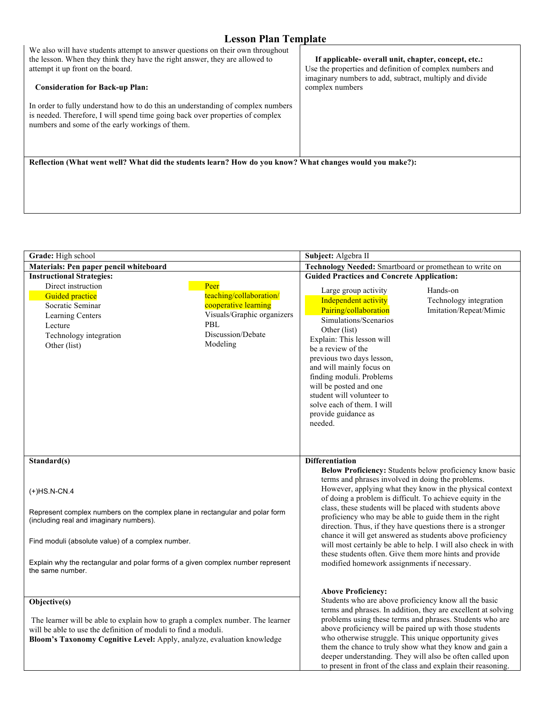### We also will have students attempt to answer questions on their own throughout the lesson. When they think they have the right answer, they are allowed to attempt it up front on the board.  **Consideration for Back-up Plan:** In order to fully understand how to do this an understanding of complex numbers is needed. Therefore, I will spend time going back over properties of complex numbers and some of the early workings of them.  **If applicable- overall unit, chapter, concept, etc.:** Use the properties and definition of complex numbers and imaginary numbers to add, subtract, multiply and divide complex numbers **Reflection (What went well? What did the students learn? How do you know? What changes would you make?):**

| Grade: High school                                                                                                                                                                                                                         |                                                                                                                               | Subject: Algebra II                                                                                                                                                                                                                                                                                                                                                                            |                                                  |
|--------------------------------------------------------------------------------------------------------------------------------------------------------------------------------------------------------------------------------------------|-------------------------------------------------------------------------------------------------------------------------------|------------------------------------------------------------------------------------------------------------------------------------------------------------------------------------------------------------------------------------------------------------------------------------------------------------------------------------------------------------------------------------------------|--------------------------------------------------|
| Materials: Pen paper pencil whiteboard                                                                                                                                                                                                     |                                                                                                                               | Technology Needed: Smartboard or promethean to write on                                                                                                                                                                                                                                                                                                                                        |                                                  |
| <b>Instructional Strategies:</b>                                                                                                                                                                                                           |                                                                                                                               | <b>Guided Practices and Concrete Application:</b>                                                                                                                                                                                                                                                                                                                                              |                                                  |
| Direct instruction<br><b>Guided practice</b><br>Socratic Seminar<br><b>Learning Centers</b><br>Lecture<br>Technology integration<br>Other (list)                                                                                           | Peer<br>teaching/collaboration/<br>cooperative learning<br>Visuals/Graphic organizers<br>PBL<br>Discussion/Debate<br>Modeling | Hands-on<br>Large group activity<br>Independent activity<br>Pairing/collaboration<br>Simulations/Scenarios<br>Other (list)<br>Explain: This lesson will<br>be a review of the<br>previous two days lesson,<br>and will mainly focus on<br>finding moduli. Problems<br>will be posted and one<br>student will volunteer to<br>solve each of them. I will<br>provide guidance as<br>needed.      | Technology integration<br>Imitation/Repeat/Mimic |
| Standard(s)                                                                                                                                                                                                                                |                                                                                                                               | <b>Differentiation</b>                                                                                                                                                                                                                                                                                                                                                                         |                                                  |
| $(+)$ HS.N-CN.4                                                                                                                                                                                                                            |                                                                                                                               | Below Proficiency: Students below proficiency know basic<br>terms and phrases involved in doing the problems.<br>However, applying what they know in the physical context<br>of doing a problem is difficult. To achieve equity in the                                                                                                                                                         |                                                  |
| Represent complex numbers on the complex plane in rectangular and polar form<br>(including real and imaginary numbers).                                                                                                                    |                                                                                                                               | class, these students will be placed with students above<br>proficiency who may be able to guide them in the right<br>direction. Thus, if they have questions there is a stronger                                                                                                                                                                                                              |                                                  |
| Find moduli (absolute value) of a complex number.                                                                                                                                                                                          |                                                                                                                               | chance it will get answered as students above proficiency<br>will most certainly be able to help. I will also check in with<br>these students often. Give them more hints and provide                                                                                                                                                                                                          |                                                  |
| Explain why the rectangular and polar forms of a given complex number represent<br>the same number.                                                                                                                                        |                                                                                                                               | modified homework assignments if necessary.                                                                                                                                                                                                                                                                                                                                                    |                                                  |
| Objective(s)<br>The learner will be able to explain how to graph a complex number. The learner<br>will be able to use the definition of moduli to find a moduli.<br>Bloom's Taxonomy Cognitive Level: Apply, analyze, evaluation knowledge |                                                                                                                               | <b>Above Proficiency:</b><br>Students who are above proficiency know all the basic<br>terms and phrases. In addition, they are excellent at solving<br>problems using these terms and phrases. Students who are<br>above proficiency will be paired up with those students<br>who otherwise struggle. This unique opportunity gives<br>them the chance to truly show what they know and gain a |                                                  |
|                                                                                                                                                                                                                                            |                                                                                                                               | deeper understanding. They will also be often called upon<br>to present in front of the class and explain their reasoning.                                                                                                                                                                                                                                                                     |                                                  |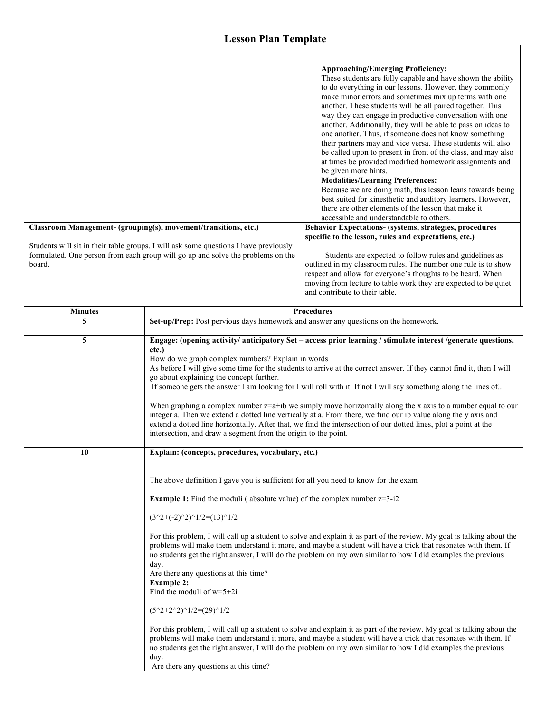Г

|                                                                                                                                                                                   | Classroom Management- (grouping(s), movement/transitions, etc.)                                                                                                          | <b>Approaching/Emerging Proficiency:</b><br>These students are fully capable and have shown the ability<br>to do everything in our lessons. However, they commonly<br>make minor errors and sometimes mix up terms with one<br>another. These students will be all paired together. This<br>way they can engage in productive conversation with one<br>another. Additionally, they will be able to pass on ideas to<br>one another. Thus, if someone does not know something<br>their partners may and vice versa. These students will also<br>be called upon to present in front of the class, and may also<br>at times be provided modified homework assignments and<br>be given more hints.<br><b>Modalities/Learning Preferences:</b><br>Because we are doing math, this lesson leans towards being<br>best suited for kinesthetic and auditory learners. However,<br>there are other elements of the lesson that make it<br>accessible and understandable to others.<br>Behavior Expectations- (systems, strategies, procedures |
|-----------------------------------------------------------------------------------------------------------------------------------------------------------------------------------|--------------------------------------------------------------------------------------------------------------------------------------------------------------------------|--------------------------------------------------------------------------------------------------------------------------------------------------------------------------------------------------------------------------------------------------------------------------------------------------------------------------------------------------------------------------------------------------------------------------------------------------------------------------------------------------------------------------------------------------------------------------------------------------------------------------------------------------------------------------------------------------------------------------------------------------------------------------------------------------------------------------------------------------------------------------------------------------------------------------------------------------------------------------------------------------------------------------------------|
|                                                                                                                                                                                   |                                                                                                                                                                          | specific to the lesson, rules and expectations, etc.)                                                                                                                                                                                                                                                                                                                                                                                                                                                                                                                                                                                                                                                                                                                                                                                                                                                                                                                                                                                |
| Students will sit in their table groups. I will ask some questions I have previously<br>formulated. One person from each group will go up and solve the problems on the<br>board. |                                                                                                                                                                          | Students are expected to follow rules and guidelines as<br>outlined in my classroom rules. The number one rule is to show<br>respect and allow for everyone's thoughts to be heard. When<br>moving from lecture to table work they are expected to be quiet<br>and contribute to their table.                                                                                                                                                                                                                                                                                                                                                                                                                                                                                                                                                                                                                                                                                                                                        |
| <b>Minutes</b>                                                                                                                                                                    | <b>Procedures</b>                                                                                                                                                        |                                                                                                                                                                                                                                                                                                                                                                                                                                                                                                                                                                                                                                                                                                                                                                                                                                                                                                                                                                                                                                      |
| 5                                                                                                                                                                                 | Set-up/Prep: Post pervious days homework and answer any questions on the homework.                                                                                       |                                                                                                                                                                                                                                                                                                                                                                                                                                                                                                                                                                                                                                                                                                                                                                                                                                                                                                                                                                                                                                      |
| 5                                                                                                                                                                                 | etc.)<br>How do we graph complex numbers? Explain in words<br>go about explaining the concept further.<br>intersection, and draw a segment from the origin to the point. | Engage: (opening activity/ anticipatory Set – access prior learning / stimulate interest /generate questions,<br>As before I will give some time for the students to arrive at the correct answer. If they cannot find it, then I will<br>If someone gets the answer I am looking for I will roll with it. If not I will say something along the lines of<br>When graphing a complex number $z=a+ib$ we simply move horizontally along the x axis to a number equal to our<br>integer a. Then we extend a dotted line vertically at a. From there, we find our ib value along the y axis and<br>extend a dotted line horizontally. After that, we find the intersection of our dotted lines, plot a point at the                                                                                                                                                                                                                                                                                                                     |
| 10                                                                                                                                                                                | Explain: (concepts, procedures, vocabulary, etc.)                                                                                                                        |                                                                                                                                                                                                                                                                                                                                                                                                                                                                                                                                                                                                                                                                                                                                                                                                                                                                                                                                                                                                                                      |
|                                                                                                                                                                                   | The above definition I gave you is sufficient for all you need to know for the exam                                                                                      |                                                                                                                                                                                                                                                                                                                                                                                                                                                                                                                                                                                                                                                                                                                                                                                                                                                                                                                                                                                                                                      |
|                                                                                                                                                                                   | <b>Example 1:</b> Find the moduli (absolute value) of the complex number $z=3-i2$                                                                                        |                                                                                                                                                                                                                                                                                                                                                                                                                                                                                                                                                                                                                                                                                                                                                                                                                                                                                                                                                                                                                                      |
|                                                                                                                                                                                   | $(3^2+(2)^2)^1/2=(13)^1/2$                                                                                                                                               |                                                                                                                                                                                                                                                                                                                                                                                                                                                                                                                                                                                                                                                                                                                                                                                                                                                                                                                                                                                                                                      |
|                                                                                                                                                                                   | day.<br>Are there any questions at this time?<br><b>Example 2:</b><br>Find the moduli of $w=5+2i$<br>$(5^2+2^2)^1/2=(29)^1/2$<br>day.                                    | For this problem, I will call up a student to solve and explain it as part of the review. My goal is talking about the<br>problems will make them understand it more, and maybe a student will have a trick that resonates with them. If<br>no students get the right answer, I will do the problem on my own similar to how I did examples the previous<br>For this problem, I will call up a student to solve and explain it as part of the review. My goal is talking about the<br>problems will make them understand it more, and maybe a student will have a trick that resonates with them. If<br>no students get the right answer, I will do the problem on my own similar to how I did examples the previous                                                                                                                                                                                                                                                                                                                 |
|                                                                                                                                                                                   | Are there any questions at this time?                                                                                                                                    |                                                                                                                                                                                                                                                                                                                                                                                                                                                                                                                                                                                                                                                                                                                                                                                                                                                                                                                                                                                                                                      |